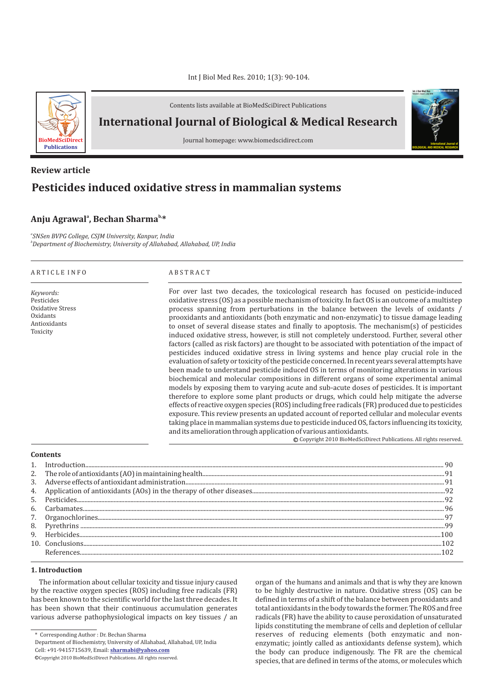

Contents lists available at BioMedSciDirect Publications

**International Journal of Biological & Medical Research** 

Journal homepage: www.biomedscidirect.com

# **Pesticides induced oxidative stress in mammalian systems Review article**

# **a b, Anju Agrawal , Bechan Sharma \***

*a SNSen BVPG College, CSJM University, Kanpur, India b Department of Biochemistry, University of Allahabad, Allahabad, UP, India*

#### A R T I C L E I N F O A B S T R A C T

*Keywords:* Pesticides Oxidative Stress Oxidants Antioxidants Toxicity

For over last two decades, the toxicological research has focused on pesticide-induced oxidative stress (OS) as a possible mechanism of toxicity. In fact OS is an outcome of a multistep process spanning from perturbations in the balance between the levels of oxidants / prooxidants and antioxidants (both enzymatic and non-enzymatic) to tissue damage leading to onset of several disease states and finally to apoptosis. The mechanism(s) of pesticides induced oxidative stress, however, is still not completely understood. Further, several other factors (called as risk factors) are thought to be associated with potentiation of the impact of pesticides induced oxidative stress in living systems and hence play crucial role in the evaluation of safety or toxicity of the pesticide concerned. In recent years several attempts have been made to understand pesticide induced OS in terms of monitoring alterations in various biochemical and molecular compositions in different organs of some experimental animal models by exposing them to varying acute and sub-acute doses of pesticides. It is important therefore to explore some plant products or drugs, which could help mitigate the adverse effects of reactive oxygen species (ROS) including free radicals (FR) produced due to pesticides exposure. This review presents an updated account of reported cellular and molecular events taking place in mammalian systems due to pesticide induced OS, factors influencing its toxicity, and its amelioration through application of various antioxidants.

c Copyright 2010 BioMedSciDirect Publications. All rights reserved.

**International Journal of BIOLOGICAL AND MEDICAL RESEARCH**

**Int J Biol Med Res www.biomedscidirect.com Volume 3, Issue 3, July 2010**

# **Contents**

#### **1. Introduction**

The information about cellular toxicity and tissue injury caused by the reactive oxygen species (ROS) including free radicals (FR) has been known to the scientific world for the last three decades. It has been shown that their continuous accumulation generates various adverse pathophysiological impacts on key tissues / an

\* Corresponding Author : Dr. Bechan Sharma

Department of Biochemistry, University of Allahabad, Allahabad, UP, India

Cell: +91-9415715639, Email: **sharmabi@yahoo.com**

organ of the humans and animals and that is why they are known to be highly destructive in nature. Oxidative stress (OS) can be defined in terms of a shift of the balance between prooxidants and total antioxidants in the body towards the former. The ROS and free radicals (FR) have the ability to cause peroxidation of unsaturated lipids constituting the membrane of cells and depletion of cellular reserves of reducing elements (both enzymatic and nonenzymatic; jointly called as antioxidants defense system), which the body can produce indigenously. The FR are the chemical species, that are defined in terms of the atoms, or molecules which

c Copyright 2010 BioMedSciDirect Publications. All rights reserved.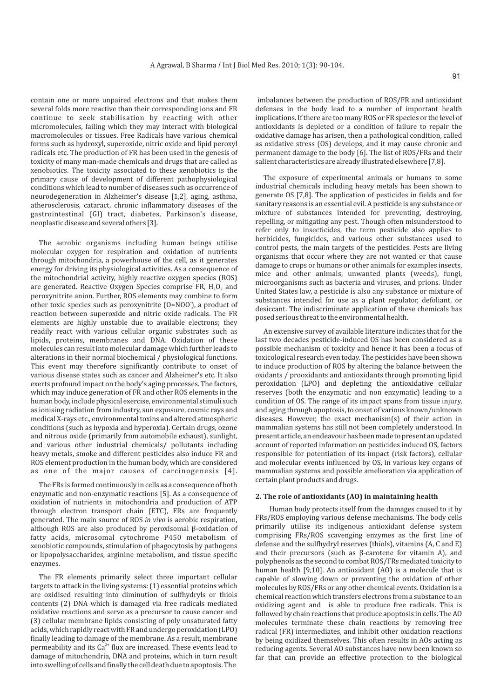contain one or more unpaired electrons and that makes them several folds more reactive than their corresponding ions and FR continue to seek stabilisation by reacting with other micromolecules, failing which they may interact with biological macromolecules or tissues. Free Radicals have various chemical forms such as hydroxyl, superoxide, nitric oxide and lipid peroxyl radicals etc. The production of FR has been used in the genesis of toxicity of many man-made chemicals and drugs that are called as xenobiotics. The toxicity associated to these xenobiotics is the primary cause of development of different pathophysiological conditions which lead to number of diseases such as occurrence of neurodegeneration in Alzheimer's disease [1,2], aging, asthma, atherosclerosis, cataract, chronic inflammatory diseases of the gastrointestinal (GI) tract, diabetes, Parkinson's disease, neoplastic disease and several others [3].

The aerobic organisms including human beings utilise molecular oxygen for respiration and oxidation of nutrients through mitochondria, a powerhouse of the cell, as it generates energy for driving its physiological activities. As a consequence of the mitochondrial activity, highly reactive oxygen species (ROS) are generated. Reactive Oxygen Species comprise FR,  $H<sub>2</sub>O<sub>2</sub>$  and peroxynitrite anion. Further, ROS elements may combine to form other toxic species such as peroxynitrite (O=NOO<sup>'</sup>), a product of reaction between superoxide and nitric oxide radicals. The FR elements are highly unstable due to available electrons; they readily react with various cellular organic substrates such as lipids, proteins, membranes and DNA. Oxidation of these molecules can result into molecular damage which further leads to alterations in their normal biochemical / physiological functions. This event may therefore significantly contribute to onset of various disease states such as cancer and Alzheimer's etc. It also exerts profound impact on the body's aging processes. The factors, which may induce generation of FR and other ROS elements in the human body, include physical exercise, environmental stimuli such as ionising radiation from industry, sun exposure, cosmic rays and medical X-rays etc., environmental toxins and altered atmospheric conditions (such as hypoxia and hyperoxia). Certain drugs, ozone and nitrous oxide (primarily from automobile exhaust), sunlight, and various other industrial chemicals/ pollutants including heavy metals, smoke and different pesticides also induce FR and ROS element production in the human body, which are considered as one of the major causes of carcinogenesis [4].

The FRs is formed continuously in cells as a consequence of both enzymatic and non-enzymatic reactions [5]. As a consequence of oxidation of nutrients in mitochondria and production of ATP through electron transport chain (ETC), FRs are frequently generated. The main source of ROS *in vivo* is aerobic respiration, although ROS are also produced by peroxisomal  $\beta$ -oxidation of fatty acids, microsomal cytochrome P450 metabolism of xenobiotic compounds, stimulation of phagocytosis by pathogens or lipopolysaccharides, arginine metabolism, and tissue specific enzymes.

The FR elements primarily select three important cellular targets to attack in the living systems: (1) essential proteins which are oxidised resulting into diminution of sulfhydryls or thiols contents (2) DNA which is damaged via free radicals mediated oxidative reactions and serve as a precursor to cause cancer and (3) cellular membrane lipids consisting of poly unsaturated fatty acids, which rapidly react with FR and undergo peroxidation (LPO) finally leading to damage of the membrane. As a result, membrane permeability and its Ca<sup>2+</sup> flux are increased. These events lead to damage of mitochondria, DNA and proteins, which in turn result into swelling of cells and finally the cell death due to apoptosis. The

imbalances between the production of ROS/FR and antioxidant defenses in the body lead to a number of important health implications. If there are too many ROS or FR species or the level of antioxidants is depleted or a condition of failure to repair the oxidative damage has arisen, then a pathological condition, called as oxidative stress (OS) develops, and it may cause chronic and permanent damage to the body [6]. The list of ROS/FRs and their salient characteristics are already illustrated elsewhere [7,8].

The exposure of experimental animals or humans to some industrial chemicals including heavy metals has been shown to generate OS [7,8]. The application of pesticides in fields and for sanitary reasons is an essential evil. A pesticide is any substance or mixture of substances intended for preventing, destroying, repelling, or mitigating any pest. Though often misunderstood to refer only to insecticides, the term pesticide also applies to herbicides, fungicides, and various other substances used to control pests, the main targets of the pesticides. Pests are living organisms that occur where they are not wanted or that cause damage to crops or humans or other animals for examples insects, mice and other animals, unwanted plants (weeds), fungi, microorganisms such as bacteria and viruses, and prions. Under United States law, a pesticide is also any substance or mixture of substances intended for use as a plant regulator, defoliant, or desiccant. The indiscriminate application of these chemicals has posed serious threat to the environmental health.

An extensive survey of available literature indicates that for the last two decades pesticide-induced OS has been considered as a possible mechanism of toxicity and hence it has been a focus of toxicological research even today. The pesticides have been shown to induce production of ROS by altering the balance between the oxidants / prooxidants and antioxidants through promoting lipid peroxidation (LPO) and depleting the antioxidative cellular reserves (both the enzymatic and non enzymatic) leading to a condition of OS. The range of its impact spans from tissue injury, and aging through apoptosis, to onset of various known/unknown diseases. However, the exact mechanism(s) of their action in mammalian systems has still not been completely understood. In present article, an endeavour has been made to present an updated account of reported information on pesticides induced OS, factors responsible for potentiation of its impact (risk factors), cellular and molecular events influenced by OS, in various key organs of mammalian systems and possible amelioration via application of certain plant products and drugs.

#### **2. The role of antioxidants (AO) in maintaining health**

Human body protects itself from the damages caused to it by FRs/ROS employing various defense mechanisms. The body cells primarily utilise its indigenous antioxidant defense system comprising FRs/ROS scavenging enzymes as the first line of defense and the sulfhydryl reserves (thiols), vitamins (A, C and E) and their precursors (such as  $\beta$ -carotene for vitamin A), and polyphenols as the second to combat ROS/FRs mediated toxicity to human health [9,10]. An antioxidant (AO) is a molecule that is capable of slowing down or preventing the oxidation of other molecules by ROS/FRs or any other chemical events. Oxidation is a chemical reaction which transfers electrons from a substance to an oxidizing agent and is able to produce free radicals. This is followed by chain reactions that produce apoptosis in cells. The AO molecules terminate these chain reactions by removing free radical (FR) intermediates, and inhibit other oxidation reactions by being oxidized themselves. This often results in AOs acting as reducing agents. Several AO substances have now been known so far that can provide an effective protection to the biological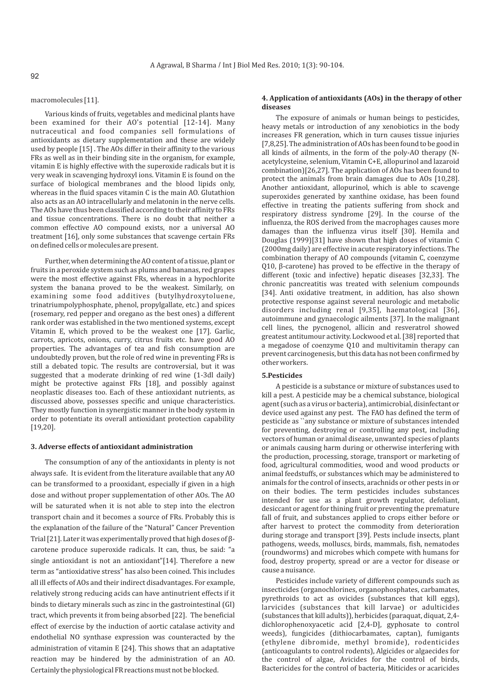#### macromolecules [11].

Various kinds of fruits, vegetables and medicinal plants have been examined for their AO's potential [12-14]. Many nutraceutical and food companies sell formulations of antioxidants as dietary supplementation and these are widely used by people [15] . The AOs differ in their affinity to the various FRs as well as in their binding site in the organism, for example, vitamin E is highly effective with the superoxide radicals but it is very weak in scavenging hydroxyl ions. Vitamin E is found on the surface of biological membranes and the blood lipids only, whereas in the fluid spaces vitamin C is the main AO. Glutathion also acts as an AO intracellularly and melatonin in the nerve cells. The AOs have thus been classified according to their affinity to FRs and tissue concentrations. There is no doubt that neither a common effective AO compound exists, nor a universal AO treatment [16], only some substances that scavenge certain FRs on defined cells or molecules are present.

Further, when determining the AO content of a tissue, plant or fruits in a peroxide system such as plums and bananas, red grapes were the most effective against FRs, whereas in a hypochlorite system the banana proved to be the weakest. Similarly, on examining some food additives (butylhydroxytoluene, trinatriumpolyphosphate, phenol, propylgallate, etc.) and spices (rosemary, red pepper and oregano as the best ones) a different rank order was established in the two mentioned systems, except Vitamin E, which proved to be the weakest one [17]. Garlic, carrots, apricots, onions, curry, citrus fruits etc. have good AO properties. The advantages of tea and fish consumption are undoubtedly proven, but the role of red wine in preventing FRs is still a debated topic. The results are controversial, but it was suggested that a moderate drinking of red wine (1-3dl daily) might be protective against FRs [18], and possibly against neoplastic diseases too. Each of these antioxidant nutrients, as discussed above, possesses specific and unique characteristics. They mostly function in synergistic manner in the body system in order to potentiate its overall antioxidant protection capability [19,20].

#### **3. Adverse effects of antioxidant administration**

The consumption of any of the antioxidants in plenty is not always safe. It is evident from the literature available that any AO can be transformed to a prooxidant, especially if given in a high dose and without proper supplementation of other AOs. The AO will be saturated when it is not able to step into the electron transport chain and it becomes a source of FRs. Probably this is the explanation of the failure of the "Natural" Cancer Prevention Trial [21]. Later it was experimentally proved that high doses of  $\beta$ carotene produce superoxide radicals. It can, thus, be said: "a single antioxidant is not an antioxidant"[14]. Therefore a new term as "antioxidative stress" has also been coined. This includes all ill effects of AOs and their indirect disadvantages. For example, relatively strong reducing acids can have antinutrient effects if it binds to dietary minerals such as zinc in the gastrointestinal (GI) tract, which prevents it from being absorbed [22]. The beneficial effect of exercise by the induction of aortic catalase activity and endothelial NO synthase expression was counteracted by the administration of vitamin E [24]. This shows that an adaptative reaction may be hindered by the administration of an AO. Certainly the physiological FR reactions must not be blocked.

# **4. Application of antioxidants (AOs) in the therapy of other diseases**

The exposure of animals or human beings to pesticides, heavy metals or introduction of any xenobiotics in the body increases FR generation, which in turn causes tissue injuries [7,8,25]. The administration of AOs has been found to be good in all kinds of ailments, in the form of the poly-AO therapy (Nacetylcysteine, selenium, Vitamin C+E, allopurinol and lazaroid combination)[26,27]. The application of AOs has been found to protect the animals from brain damages due to AOs [10,28]. Another antioxidant, allopurinol, which is able to scavenge superoxides generated by xanthine oxidase, has been found effective in treating the patients suffering from shock and respiratory distress syndrome [29]. In the course of the influenza, the ROS derived from the macrophages causes more damages than the influenza virus itself [30]. Hemila and Douglas (1999)[31] have shown that high doses of vitamin C (2000mg daily) are effective in acute respiratory infections. The combination therapy of AO compounds (vitamin C, coenzyme  $Q10$ ,  $\beta$ -carotene) has proved to be effective in the therapy of different (toxic and infective) hepatic diseases [32,33]. The chronic pancreatitis was treated with selenium compounds [34]. Anti oxidative treatment, in addition, has also shown protective response against several neurologic and metabolic disorders including renal [9,35], haematological [36], autoimmune and gynaecologic ailments [37]. In the malignant cell lines, the pycnogenol, allicin and resveratrol showed greatest antitumour activity. Lockwood et al. [38] reported that a megadose of coenzyme Q10 and multivitamin therapy can prevent carcinogenesis, but this data has not been confirmed by other workers.

# **5.Pesticides**

A pesticide is a substance or mixture of substances used to kill a pest. A pesticide may be a chemical substance, biological agent (such as a virus or bacteria), antimicrobial, disinfectant or device used against any pest. The FAO has defined the term of pesticide as ``any substance or mixture of substances intended for preventing, destroying or controlling any pest, including vectors of human or animal disease, unwanted species of plants or animals causing harm during or otherwise interfering with the production, processing, storage, transport or marketing of food, agricultural commodities, wood and wood products or animal feedstuffs, or substances which may be administered to animals for the control of insects, arachnids or other pests in or on their bodies. The term pesticides includes substances intended for use as a plant growth regulator, defoliant, desiccant or agent for thining fruit or preventing the premature fall of fruit, and substances applied to crops either before or after harvest to protect the commodity from deterioration during storage and transport [39]. Pests include insects, plant pathogens, weeds, molluscs, birds, mammals, fish, nematodes (roundworms) and microbes which compete with humans for food, destroy property, spread or are a vector for disease or cause a nuisance.

Pesticides include variety of different compounds such as insecticides (organochlorines, organophosphates, carbamates, pyrethroids to act as ovicides (substances that kill eggs), larvicides (substances that kill larvae) or adulticides (substances that kill adults)), herbicides (paraquat, diquat, 2,4 dichlorophenoxyacetic acid [2,4-D], gyphosate to control weeds), fungicides (dithiocarbamates, captan), fumigants (ethylene dibromide, methyl bromide), rodenticides (anticoagulants to control rodents), Algicides or algaecides for the control of algae, Avicides for the control of birds, Bactericides for the control of bacteria, Miticides or acaricides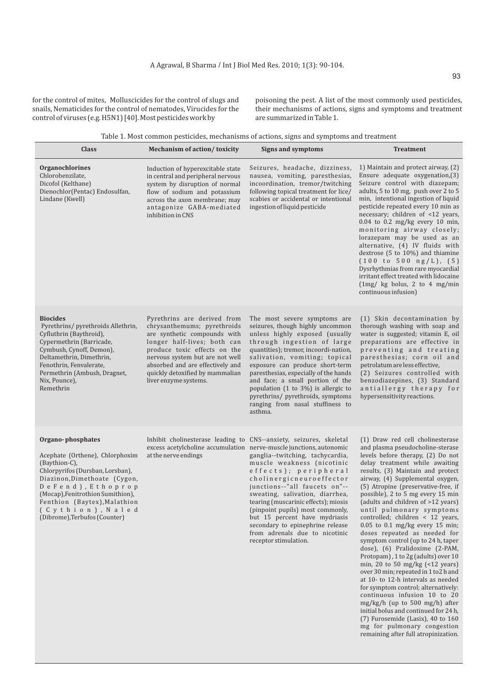for the control of mites, Molluscicides for the control of slugs and snails, Nematicides for the control of nematodes, Virucides for the control of viruses (e.g. H5N1) [40]. Most pesticides work by

poisoning the pest. A list of the most commonly used pesticides, their mechanisms of actions, signs and symptoms and treatment are summarized in Table 1.

> mg/kg/h (up to 500 mg/h) after initial bolus and continued for 24 h, (7) Furosemide (Lasix), 40 to 160 mg for pulmonary congestion remaining after full atropinization.

|                                                                                                                                                                                                                                                                                          | Table 1. Most common pesucides, mechanisms of actions, signs and symptoms and treatment                                                                                                                                                                                                      |                                                                                                                                                                                                                                                                                                                                                                                                                                                                                                                                                 |                                                                                                                                                                                                                                                                                                                                                                                                                                                                                                                                                                                                                                                                                                                                                                                         |
|------------------------------------------------------------------------------------------------------------------------------------------------------------------------------------------------------------------------------------------------------------------------------------------|----------------------------------------------------------------------------------------------------------------------------------------------------------------------------------------------------------------------------------------------------------------------------------------------|-------------------------------------------------------------------------------------------------------------------------------------------------------------------------------------------------------------------------------------------------------------------------------------------------------------------------------------------------------------------------------------------------------------------------------------------------------------------------------------------------------------------------------------------------|-----------------------------------------------------------------------------------------------------------------------------------------------------------------------------------------------------------------------------------------------------------------------------------------------------------------------------------------------------------------------------------------------------------------------------------------------------------------------------------------------------------------------------------------------------------------------------------------------------------------------------------------------------------------------------------------------------------------------------------------------------------------------------------------|
| <b>Class</b>                                                                                                                                                                                                                                                                             | <b>Mechanism of action/ toxicity</b>                                                                                                                                                                                                                                                         | Signs and symptoms                                                                                                                                                                                                                                                                                                                                                                                                                                                                                                                              | <b>Treatment</b>                                                                                                                                                                                                                                                                                                                                                                                                                                                                                                                                                                                                                                                                                                                                                                        |
| Organochlorines<br>Chlorobenzilate,<br>Dicofol (Kelthane)<br>Dienochlor(Pentac) Endosulfan,<br>Lindane (Kwell)                                                                                                                                                                           | Induction of hyperexcitable state<br>in central and peripheral nervous<br>system by disruption of normal<br>flow of sodium and potassium<br>across the axon membrane; may<br>antagonize GABA-mediated<br>inhibition in CNS                                                                   | Seizures, headache, dizziness,<br>nausea, vomiting, paresthesias,<br>incoordination, tremor/twitching<br>following topical treatment for lice/<br>scabies or accidental or intentional<br>ingestion of liquid pesticide                                                                                                                                                                                                                                                                                                                         | 1) Maintain and protect airway, (2)<br>Ensure adequate oxygenation, (3)<br>Seizure control with diazepam;<br>adults, 5 to 10 mg, push over 2 to 5<br>min, intentional ingestion of liquid<br>pesticide repeated every 10 min as<br>necessary; children of <12 years,<br>$0.04$ to 0.2 mg/kg every 10 min,<br>monitoring airway closely;<br>lorazepam may be used as an<br>alternative, (4) IV fluids with<br>dextrose (5 to 10%) and thiamine<br>(100 to 500 ng/L), (5)<br>Dysrhythmias from rare myocardial<br>irritant effect treated with lidocaine<br>$\left(\frac{1}{\text{mg}}\right)$ kg bolus, 2 to 4 mg/min<br>continuous infusion)                                                                                                                                            |
| <b>Biocides</b><br>Pyrethrins/ pyrethroids Allethrin,<br>Cyfluthrin (Baythroid),<br>Cypermethrin (Barricade,<br>Cymbush, Cynoff, Demon),<br>Deltamethrin, Dimethrin,<br>Fenothrin, Fenvalerate,<br>Permethrin (Ambush, Dragnet,<br>Nix, Pounce),<br>Remethrin                            | Pyrethrins are derived from<br>chrysanthemums; pyrethroids<br>are synthetic compounds with<br>longer half-lives; both can<br>produce toxic effects on the<br>nervous system but are not well<br>absorbed and are effectively and<br>quickly detoxified by mammalian<br>liver enzyme systems. | The most severe symptoms are<br>seizures, though highly uncommon<br>unless highly exposed (usually<br>through ingestion of large<br>quantities); tremor, incoordi-nation,<br>salivation, vomiting; topical<br>exposure can produce short-term<br>paresthesias, especially of the hands<br>and face; a small portion of the<br>population $(1 \text{ to } 3\%)$ is allergic to<br>pyrethrins/ pyrethroids, symptoms<br>ranging from nasal stuffiness to<br>asthma.                                                                               | (1) Skin decontamination by<br>thorough washing with soap and<br>water is suggested; vitamin E, oil<br>preparations are effective in<br>preventing and treating<br>paresthesias; corn oil and<br>petrolatum are less effective,<br>(2) Seizures controlled with<br>benzodiazepines, (3) Standard<br>antiallergy therapy for<br>hypersensitivity reactions.                                                                                                                                                                                                                                                                                                                                                                                                                              |
| Organo-phosphates<br>Acephate (Orthene), Chlorphoxim<br>(Baythion-C),<br>Chlorpyrifos (Dursban, Lorsban),<br>Diazinon, Dimethoate (Cygon,<br>DeFend), Ethoprop<br>(Mocap), Fenitrothion Sumithion),<br>Fenthion (Baytex), Malathion<br>(Cythion), Naled<br>(Dibrome), Terbufos (Counter) | at the nerve endings                                                                                                                                                                                                                                                                         | Inhibit cholinesterase leading to CNS--anxiety, seizures, skeletal<br>excess acetylcholine accumulation nerve-muscle junctions, autonomic<br>ganglia--twitching, tachycardia,<br>muscle weakness (nicotinic<br>effects); peripheral<br>cholinergicneuroeffector<br>junctions--"all faucets on"--<br>sweating, salivation, diarrhea,<br>tearing (muscarinic effects); miosis<br>(pinpoint pupils) most commonly,<br>but 15 percent have mydriasis<br>secondary to epinephrine release<br>from adrenals due to nicotinic<br>receptor stimulation. | (1) Draw red cell cholinesterase<br>and plasma pseudocholine-sterase<br>levels before therapy, (2) Do not<br>delay treatment while awaiting<br>results, (3) Maintain and protect<br>airway, (4) Supplemental oxygen,<br>(5) Atropine (preservative-free, if<br>possible), 2 to 5 mg every 15 min<br>(adults and children of >12 years)<br>until pulmonary symptoms<br>controlled; children < 12 years,<br>$0.05$ to $0.1$ mg/kg every 15 min;<br>doses repeated as needed for<br>symptom control (up to 24 h, taper<br>dose), (6) Pralidoxime (2-PAM,<br>Protopam), 1 to 2g (adults) over 10<br>min, 20 to 50 mg/kg $($ 42 years)<br>over 30 min; repeated in 1 to 2 h and<br>at 10- to 12-h intervals as needed<br>for symptom control; alternatively:<br>continuous infusion 10 to 20 |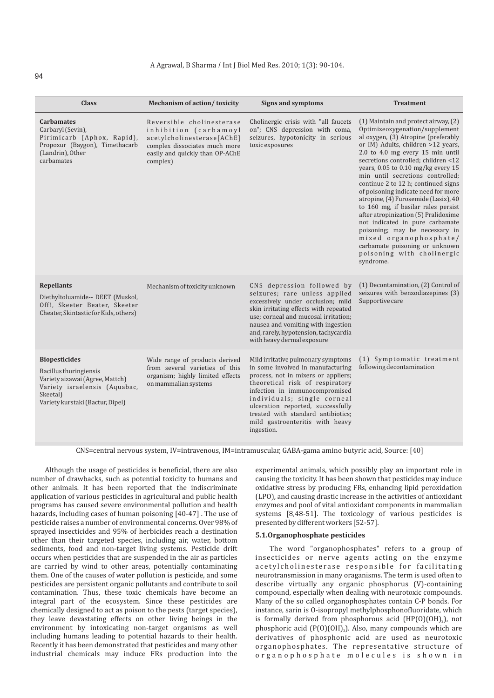| <b>Class</b>                                                                                                                                                       | <b>Mechanism of action/toxicity</b>                                                                                                                              | <b>Signs and symptoms</b>                                                                                                                                                                                                                                                                                                                      | <b>Treatment</b>                                                                                                                                                                                                                                                                                                                                                                                                                                                                                                                                                                                                                                                                          |
|--------------------------------------------------------------------------------------------------------------------------------------------------------------------|------------------------------------------------------------------------------------------------------------------------------------------------------------------|------------------------------------------------------------------------------------------------------------------------------------------------------------------------------------------------------------------------------------------------------------------------------------------------------------------------------------------------|-------------------------------------------------------------------------------------------------------------------------------------------------------------------------------------------------------------------------------------------------------------------------------------------------------------------------------------------------------------------------------------------------------------------------------------------------------------------------------------------------------------------------------------------------------------------------------------------------------------------------------------------------------------------------------------------|
| <b>Carbamates</b><br>Carbaryl (Sevin),<br>Pirimicarb (Aphox, Rapid),<br>Propoxur (Baygon), Timethacarb<br>(Landrin), Other<br>carbamates                           | Reversible cholinesterase<br>inhibition (carbamoyl<br>acetylcholinesterase[AChE]<br>complex dissociates much more<br>easily and quickly than OP-AChE<br>complex) | Cholinergic crisis with "all faucets<br>on"; CNS depression with coma,<br>seizures, hypotonicity in serious<br>toxic exposures                                                                                                                                                                                                                 | (1) Maintain and protect airway, (2)<br>Optimizeoxygenation/supplement<br>al oxygen, (3) Atropine (preferably<br>or IM) Adults, children >12 years,<br>2.0 to 4.0 mg every 15 min until<br>secretions controlled; children <12<br>years, 0.05 to 0.10 mg/kg every 15<br>min until secretions controlled;<br>continue 2 to 12 h; continued signs<br>of poisoning indicate need for more<br>atropine, (4) Furosemide (Lasix), 40<br>to 160 mg, if basilar rales persist<br>after atropinization (5) Pralidoxime<br>not indicated in pure carbamate<br>poisoning; may be necessary in<br>mixed organophosphate/<br>carbamate poisoning or unknown<br>poisoning with cholinergic<br>syndrome. |
| <b>Repellants</b><br>Diethyltoluamide-- DEET (Muskol,<br>Off!, Skeeter Beater, Skeeter<br>Cheater, Skintastic for Kids, others)                                    | Mechanism of toxicity unknown                                                                                                                                    | CNS depression followed by<br>seizures; rare unless applied<br>excessively under occlusion; mild<br>skin irritating effects with repeated<br>use; corneal and mucosal irritation;<br>nausea and vomiting with ingestion<br>and, rarely, hypotension, tachycardia<br>with heavy dermal exposure                                                 | (1) Decontamination, (2) Control of<br>seizures with benzodiazepines (3)<br>Supportive care                                                                                                                                                                                                                                                                                                                                                                                                                                                                                                                                                                                               |
| <b>Biopesticides</b><br>Bacillus thuringiensis<br>Variety aizawai (Agree, Mattch)<br>Variety israelensis (Aquabac,<br>Skeetal)<br>Variety kurstaki (Bactur, Dipel) | Wide range of products derived<br>from several varieties of this<br>organism; highly limited effects<br>on mammalian systems                                     | Mild irritative pulmonary symptoms<br>in some involved in manufacturing<br>process, not in mixers or appliers;<br>theoretical risk of respiratory<br>infection in immunocompromised<br>individuals; single corneal<br>ulceration reported, successfully<br>treated with standard antibiotics:<br>mild gastroenteritis with heavy<br>ingestion. | (1) Symptomatic treatment<br>following decontamination                                                                                                                                                                                                                                                                                                                                                                                                                                                                                                                                                                                                                                    |

CNS=central nervous system, IV=intravenous, IM=intramuscular, GABA-gama amino butyric acid, Source: [40]

Although the usage of pesticides is beneficial, there are also number of drawbacks, such as potential toxicity to humans and other animals. It has been reported that the indiscriminate application of various pesticides in agricultural and public health programs has caused severe environmental pollution and health hazards, including cases of human poisoning [40-47] . The use of pesticide raises a number of environmental concerns. Over 98% of sprayed insecticides and 95% of herbicides reach a destination other than their targeted species, including air, water, bottom sediments, food and non-target living systems. Pesticide drift occurs when pesticides that are suspended in the air as particles are carried by wind to other areas, potentially contaminating them. One of the causes of water pollution is pesticide, and some pesticides are persistent organic pollutants and contribute to soil contamination. Thus, these toxic chemicals have become an integral part of the ecosystem. Since these pesticides are chemically designed to act as poison to the pests (target species), they leave devastating effects on other living beings in the environment by intoxicating non-target organisms as well including humans leading to potential hazards to their health. Recently it has been demonstrated that pesticides and many other industrial chemicals may induce FRs production into the

experimental animals, which possibly play an important role in causing the toxicity. It has been shown that pesticides may induce oxidative stress by producing FRs, enhancing lipid peroxidation (LPO), and causing drastic increase in the activities of antioxidant enzymes and pool of vital antioxidant components in mammalian systems [8,48-51]. The toxicology of various pesticides is presented by different workers [52-57].

# **5.1.Organophosphate pesticides**

The word "organophosphates" refers to a group of insecticides or nerve agents acting on the enzyme a cetyl cholinesterase responsible for facilitating neurotransmission in many oraganisms. The term is used often to describe virtually any organic phosphorus (V)-containing compound, especially when dealing with neurotoxic compounds. Many of the so called organophosphates contain C-P bonds. For instance, sarin is O-isopropyl methylphosphonofluoridate, which is formally derived from phosphorous acid  $(HP(0)(OH<sub>2</sub>), not$ phosphoric acid  $(P(0)(OH)_{3})$ . Also, many compounds which are derivatives of phosphonic acid are used as neurotoxic organophosphates. The representative structure of organophosphate molecules is shown in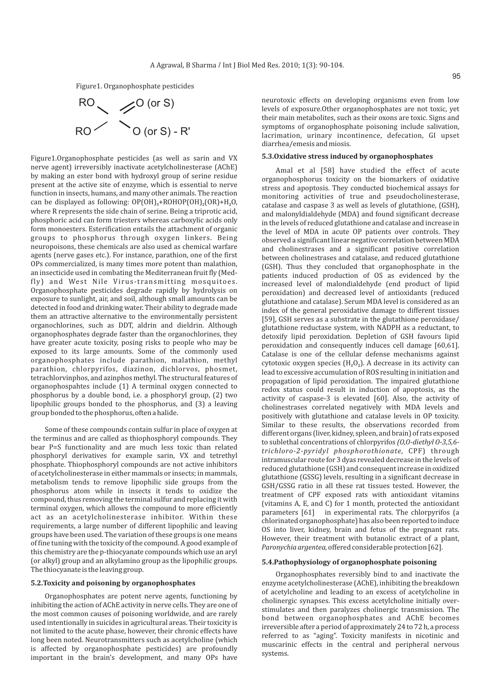Figure1. Organophosphate pesticides



Figure1.Organophosphate pesticides (as well as sarin and VX nerve agent) irreversibly inactivate acetylcholinesterase (AChE) by making an ester bond with hydroxyl group of serine residue present at the active site of enzyme, which is essential to nerve function in insects, humans, and many other animals. The reaction can be displayed as following:  $OP(OH)$ <sub>3</sub>+ROHOP(OH)<sub>2</sub>(OR)+H<sub>2</sub>O<sub>2</sub> where R represents the side chain of serine. Being a triprotic acid, phosphoric acid can form triesters whereas carboxylic acids only form monoesters. Esterification entails the attachment of organic groups to phosphorus through oxygen linkers. Being neuropoisons, these chemicals are also used as chemical warfare agents (nerve gases etc.). For instance, parathion, one of the first OPs commercialized, is many times more potent than malathion, an insecticide used in combating the Mediterranean fruit fly (Medfly) and West Nile Virus-transmitting mosquitoes. Organophosphate pesticides degrade rapidly by hydrolysis on exposure to sunlight, air, and soil, although small amounts can be detected in food and drinking water. Their ability to degrade made them an attractive alternative to the environmentally persistent organochlorines, such as DDT, aldrin and dieldrin. Although organophosphates degrade faster than the organochlorines, they have greater acute toxicity, posing risks to people who may be exposed to its large amounts. Some of the commonly used organophosphates include parathion, malathion, methyl parathion, chlorpyrifos, diazinon, dichlorvos, phosmet, tetrachlorvinphos, and azinphos methyl. The structural features of organophospahtes include (1) A terminal oxygen connected to phosphorus by a double bond, i.e. a phosphoryl group, (2) two lipophilic groups bonded to the phosphorus, and (3) a leaving group bonded to the phosphorus, often a halide.

Some of these compounds contain sulfur in place of oxygen at the terminus and are called as thiophosphoryl compounds. They bear P=S functionality and are much less toxic than related phosphoryl derivatives for example sarin, VX and tetrethyl phosphate. Thiophosphoryl compounds are not active inhibitors of acetylcholinesterase in either mammals or insects; in mammals, metabolism tends to remove lipophilic side groups from the phosphorus atom while in insects it tends to oxidize the compound, thus removing the terminal sulfur and replacing it with terminal oxygen, which allows the compound to more efficiently act as an acetylcholinesterase inhibitor. Within these requirements, a large number of different lipophilic and leaving groups have been used. The variation of these groups is one means of fine tuning with the toxicity of the compound. A good example of this chemistry are the p-thiocyanate compounds which use an aryl (or alkyl) group and an alkylamino group as the lipophilic groups. The thiocyanate is the leaving group.

#### **5.2.Toxicity and poisoning by organophosphates**

Organophosphates are potent nerve agents, functioning by inhibiting the action of AChE activity in nerve cells. They are one of the most common causes of poisoning worldwide, and are rarely used intentionally in suicides in agricultural areas. Their toxicity is not limited to the acute phase, however, their chronic effects have long been noted. Neurotransmitters such as acetylcholine (which is affected by organophosphate pesticides) are profoundly important in the brain's development, and many OPs have neurotoxic effects on developing organisms even from low levels of exposure.Other organophosphates are not toxic, yet their main metabolites, such as their oxons are toxic. Signs and symptoms of organophosphate poisoning include salivation, lacrimation, urinary incontinence, defecation, GI upset diarrhea/emesis and miosis.

#### **5.3.Oxidative stress induced by organophosphates**

Amal et al [58] have studied the effect of acute organophosphorus toxicity on the biomarkers of oxidative stress and apoptosis. They conducted biochemical assays for monitoring activities of true and pseudocholinesterase, catalase and caspase 3 as well as levels of glutathione, (GSH), and malonyldialdehyde (MDA) and found significant decrease in the levels of reduced glutathione and catalase and increase in the level of MDA in acute OP patients over controls. They observed a significant linear negative correlation between MDA and cholinestrases and a significant positive correlation between cholinestrases and catalase, and reduced glutathione (GSH). Thus they concluded that organophosphate in the patients induced production of OS as evidenced by the increased level of malondialdehyde (end product of lipid peroxidation) and decreased level of antioxidants (reduced glutathione and catalase). Serum MDA level is considered as an index of the general peroxidative damage to different tissues [59], GSH serves as a substrate in the glutathione peroxidase/ glutathione reductase system, with NADPH as a reductant, to detoxify lipid peroxidation. Depletion of GSH favours lipid peroxidation and consequently induces cell damage [60,61]. Catalase is one of the cellular defense mechanisms against cytotoxic oxygen species  $(H_2O_2)$ . A decrease in its activity can lead to excessive accumulation of ROS resulting in initiation and propagation of lipid peroxidation. The impaired glutathione redox status could result in induction of apoptosis, as the activity of caspase-3 is elevated [60]. Also, the activity of cholinestrases correlated negatively with MDA levels and positively with glutathione and catalase levels in OP toxicity. Similar to these results, the observations recorded from different organs (liver, kidney, spleen, and brain) of rats exposed to sublethal concentrations of chlorpyrifos *(O,O-diethyl O-3,5,6 trichloro-2-pyridyl phosphorothionate,* CPF) through intramuscular route for 3 dyas revealed decrease in the levels of reduced glutathione (GSH) and consequent increase in oxidized glutathione (GSSG) levels, resulting in a significant decrease in GSH/GSSG ratio in all these rat tissues tested. However, the treatment of CPF exposed rats with antioxidant vitamins (vitamins A, E, and C) for 1 month, protected the antioxidant parameters [61] in experimental rats. The chlorpyrifos (a chlorinated organophosphate) has also been reported to induce OS into liver, kidney, brain and fetus of the pregnant rats. However, their treatment with butanolic extract of a plant, *Paronychia argentea,*offered considerable protection [62].

#### **5.4.Pathophysiology of organophosphate poisoning**

Organophosphates reversibly bind to and inactivate the enzyme acetylcholinesterase (AChE), inhibiting the breakdown of acetylcholine and leading to an excess of acetylcholine in cholinergic synapses. This excess acetylcholine initially overstimulates and then paralyzes cholinergic transmission. The bond between organophosphates and AChE becomes irreversible after a period of approximately 24 to 72 h, a process referred to as "aging". Toxicity manifests in nicotinic and muscarinic effects in the central and peripheral nervous systems.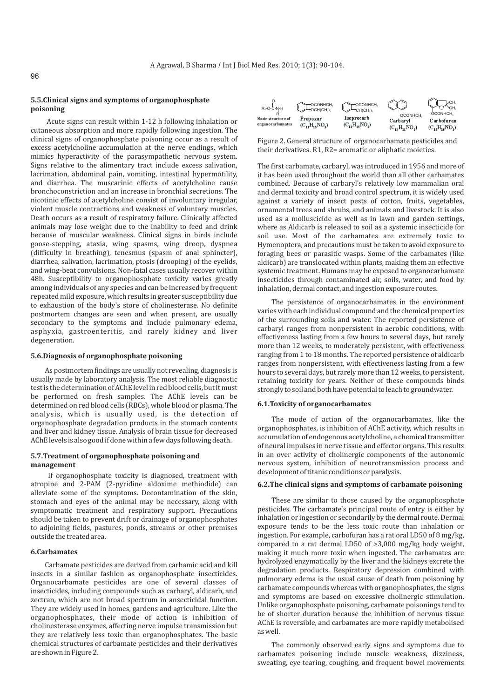# **5.5.Clinical signs and symptoms of organophosphate poisoning**

Acute signs can result within 1-12 h following inhalation or cutaneous absorption and more rapidly following ingestion. The clinical signs of organophosphate poisoning occur as a result of excess acetylcholine accumulation at the nerve endings, which mimics hyperactivity of the parasympathetic nervous system. Signs relative to the alimentary tract include excess salivation, lacrimation, abdominal pain, vomiting, intestinal hypermotility, and diarrhea. The muscarinic effects of acetylcholine cause bronchoconstriction and an increase in bronchial secretions. The nicotinic effects of acetylcholine consist of involuntary irregular, violent muscle contractions and weakness of voluntary muscles. Death occurs as a result of respiratory failure. Clinically affected animals may lose weight due to the inability to feed and drink because of muscular weakness. Clinical signs in birds include goose-stepping, ataxia, wing spasms, wing droop, dyspnea (difficulty in breathing), tenesmus (spasm of anal sphincter), diarrhea, salivation, lacrimation, ptosis (drooping) of the eyelids, and wing-beat convulsions. Non-fatal cases usually recover within 48h. Susceptibility to organophosphate toxicity varies greatly among individuals of any species and can be increased by frequent repeated mild exposure, which results in greater susceptibility due to exhaustion of the body's store of cholinesterase. No definite postmortem changes are seen and when present, are usually secondary to the symptoms and include pulmonary edema, asphyxia, gastroenteritis, and rarely kidney and liver degeneration.

# **5.6.Diagnosis of organophosphate poisoning**

As postmortem findings are usually not revealing, diagnosis is usually made by laboratory analysis. The most reliable diagnostic test is the determination of AChE level in red blood cells, but it must be performed on fresh samples. The AChE levels can be determined on red blood cells (RBCs), whole blood or plasma. The analysis, which is usually used, is the detection of organophosphate degradation products in the stomach contents and liver and kidney tissue. Analysis of brain tissue for decreased AChE levels is also good if done within a few days following death.

# **5.7.Treatment of organophosphate poisoning and management**

If organophosphate toxicity is diagnosed, treatment with atropine and 2-PAM (2-pyridine aldoxime methiodide) can alleviate some of the symptoms. Decontamination of the skin, stomach and eyes of the animal may be necessary, along with symptomatic treatment and respiratory support. Precautions should be taken to prevent drift or drainage of organophosphates to adjoining fields, pastures, ponds, streams or other premises outside the treated area.

# **6.Carbamates**

Carbamate pesticides are derived from carbamic acid and kill insects in a similar fashion as organophosphate insecticides. Organocarbamate pesticides are one of several classes of insecticides, including compounds such as carbaryl, aldicarb, and zectran, which are not broad spectrum in ansecticidal function. They are widely used in homes, gardens and agriculture. Like the organophosphates, their mode of action is inhibition of cholinesterase enzymes, affecting nerve impulse transmission but they are relatively less toxic than organophosphates. The basic chemical structures of carbamate pesticides and their derivatives are shown in Figure 2.



Figure 2. General structure of organocarbamate pesticides and their derivatives. R1, R2= aromatic or aliphatic moieties.

The first carbamate, carbaryl, was introduced in 1956 and more of it has been used throughout the world than all other carbamates combined. Because of carbaryl's relatively low mammalian oral and dermal toxicity and broad control spectrum, it is widely used against a variety of insect pests of cotton, fruits, vegetables, ornamental trees and shrubs, and animals and livestock. It is also used as a molluscicide as well as in lawn and garden settings, where as Aldicarb is released to soil as a systemic insecticide for soil use. Most of the carbamates are extremely toxic to Hymenoptera, and precautions must be taken to avoid exposure to foraging bees or parasitic wasps. Some of the carbamates (like aldicarb) are translocated within plants, making them an effective systemic treatment. Humans may be exposed to organocarbamate insecticides through contaminated air, soils, water, and food by inhalation, dermal contact, and ingestion exposure routes.

The persistence of organocarbamates in the environment varies with each individual compound and the chemical properties of the surrounding soils and water. The reported persistence of carbaryl ranges from nonpersistent in aerobic conditions, with effectiveness lasting from a few hours to several days, but rarely more than 12 weeks, to moderately persistent, with effectiveness ranging from 1 to 18 months. The reported persistence of aldicarb ranges from nonpersistent, with effectiveness lasting from a few hours to several days, but rarely more than 12 weeks, to persistent, retaining toxicity for years. Neither of these compounds binds strongly to soil and both have potential to leach to groundwater.

#### **6.1.Toxicity of organocarbamates**

The mode of action of the organocarbamates, like the organophosphates, is inhibition of AChE activity, which results in accumulation of endogenous acetylcholine, a chemical transmitter of neural impulses in nerve tissue and effector organs. This results in an over activity of cholinergic components of the autonomic nervous system, inhibition of neurotransmission process and development of titanic conditions or paralysis.

# **6.2.The clinical signs and symptoms of carbamate poisoning**

These are similar to those caused by the organophosphate pesticides. The carbamate's principal route of entry is either by inhalation or ingestion or secondarily by the dermal route. Dermal exposure tends to be the less toxic route than inhalation or ingestion. For example, carbofuran has a rat oral LD50 of 8 mg/kg, compared to a rat dermal LD50 of >3,000 mg/kg body weight, making it much more toxic when ingested. The carbamates are hydrolyzed enzymatically by the liver and the kidneys excrete the degradation products. Respiratory depression combined with pulmonary edema is the usual cause of death from poisoning by carbamate compounds whereas with organophosphates, the signs and symptoms are based on excessive cholinergic stimulation. Unlike organophosphate poisoning, carbamate poisonings tend to be of shorter duration because the inhibition of nervous tissue AChE is reversible, and carbamates are more rapidly metabolised as well.

The commonly observed early signs and symptoms due to carbamates poisoning include muscle weakness, dizziness, sweating, eye tearing, coughing, and frequent bowel movements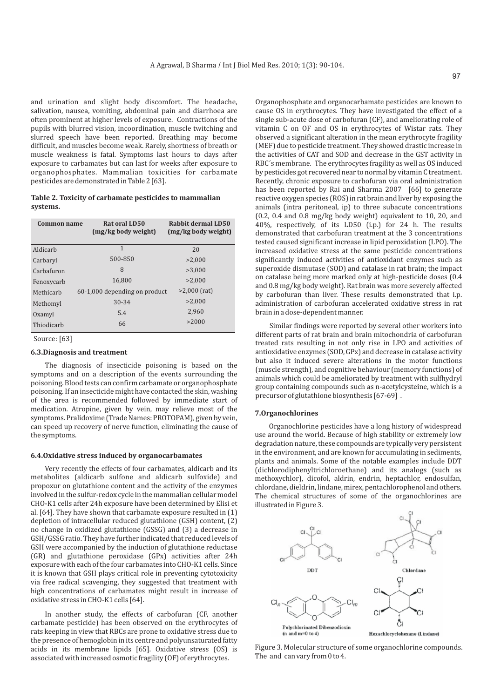and urination and slight body discomfort. The headache, salivation, nausea, vomiting, abdominal pain and diarrhoea are often prominent at higher levels of exposure. Contractions of the pupils with blurred vision, incoordination, muscle twitching and slurred speech have been reported. Breathing may become difficult, and muscles become weak. Rarely, shortness of breath or muscle weakness is fatal. Symptoms last hours to days after exposure to carbamates but can last for weeks after exposure to organophosphates. Mammalian toxicities for carbamate pesticides are demonstrated in Table 2 [63].

### **Table 2. Toxicity of carbamate pesticides to mammalian systems.**

| Common name | Rat oral LD50<br>(mg/kg body weight) | Rabbit dermal LD50<br>(mg/kg body weight) |
|-------------|--------------------------------------|-------------------------------------------|
| Aldicarb    | 1                                    | 20                                        |
| Carbaryl    | 500-850                              | >2.000                                    |
| Carbafuron  | 8                                    | >3.000                                    |
| Fenoxycarb  | 16.800                               | >2.000                                    |
| Methicarh   | 60-1,000 depending on product        | $>2,000$ (rat)                            |
| Methomyl    | 30-34                                | >2.000                                    |
| Oxamyl      | 5.4                                  | 2.960                                     |
| Thiodicarb  | 66                                   | >2000                                     |

Source: [63]

#### **6.3.Diagnosis and treatment**

The diagnosis of insecticide poisoning is based on the symptoms and on a description of the events surrounding the poisoning. Blood tests can confirm carbamate or organophosphate poisoning. If an insecticide might have contacted the skin, washing of the area is recommended followed by immediate start of medication. Atropine, given by vein, may relieve most of the symptoms. Pralidoxime (Trade Names: PROTOPAM), given by vein, can speed up recovery of nerve function, eliminating the cause of the symptoms.

#### **6.4.Oxidative stress induced by organocarbamates**

Very recently the effects of four carbamates, aldicarb and its metabolites (aldicarb sulfone and aldicarb sulfoxide) and propoxur on glutathione content and the activity of the enzymes involved in the sulfur-redox cycle in the mammalian cellular model CHO-K1 cells after 24h exposure have been determined by Elisi et al. [64]. They have shown that carbamate exposure resulted in (1) depletion of intracellular reduced glutathione (GSH) content, (2) no change in oxidized glutathione (GSSG) and (3) a decrease in GSH/GSSG ratio. They have further indicated that reduced levels of GSH were accompanied by the induction of glutathione reductase (GR) and glutathione peroxidase (GPx) activities after 24h exposure with each of the four carbamates into CHO-K1 cells. Since it is known that GSH plays critical role in preventing cytotoxicity via free radical scavenging, they suggested that treatment with high concentrations of carbamates might result in increase of oxidative stress in CHO-K1 cells [64].

In another study, the effects of carbofuran (CF, another carbamate pesticide) has been observed on the erythrocytes of rats keeping in view that RBCs are prone to oxidative stress due to the presence of hemoglobin in its centre and polyunsaturated fatty acids in its membrane lipids [65]. Oxidative stress (OS) is associated with increased osmotic fragility (OF) of erythrocytes.

Organophosphate and organocarbamate pesticides are known to cause OS in erythrocytes. They have investigated the effect of a single sub-acute dose of carbofuran (CF), and ameliorating role of vitamin C on OF and OS in erythrocytes of Wistar rats. They observed a significant alteration in the mean erythrocyte fragility (MEF) due to pesticide treatment. They showed drastic increase in the activities of CAT and SOD and decrease in the GST activity in RBC´s membrane. The erythrocytes fragility as well as OS induced by pesticides got recovered near to normal by vitamin C treatment. Recently, chronic exposure to carbofuran via oral administration has been reported by Rai and Sharma 2007 [66] to generate reactive oxygen species (ROS) in rat brain and liver by exposing the animals (intra peritoneal, ip) to three subacute concentrations (0.2, 0.4 and 0.8 mg/kg body weight) equivalent to 10, 20, and 40%, respectively, of its LD50 (i.p.) for 24 h. The results demonstrated that carbofuran treatment at the 3 concentrations tested caused significant increase in lipid peroxidation (LPO). The increased oxidative stress at the same pesticide concentrations significantly induced activities of antioxidant enzymes such as superoxide dismutase (SOD) and catalase in rat brain; the impact on catalase being more marked only at high-pesticide doses (0.4 and 0.8 mg/kg body weight). Rat brain was more severely affected by carbofuran than liver. These results demonstrated that i.p. administration of carbofuran accelerated oxidative stress in rat brain in a dose-dependent manner.

Similar findings were reported by several other workers into different parts of rat brain and brain mitochondria of carbofuran treated rats resulting in not only rise in LPO and activities of antioxidative enzymes (SOD, GPx) and decrease in catalase activity but also it induced severe alterations in the motor functions (muscle strength), and cognitive behaviour (memory functions) of animals which could be ameliorated by treatment with sulfhydryl group containing compounds such as n-acetylcysteine, which is a precursor of glutathione biosynthesis [67-69] .

#### **7.Organochlorines**

Organochlorine pesticides have a long history of widespread use around the world. Because of high stability or extremely low degradation nature, these compounds are typically very persistent in the environment, and are known for accumulating in sediments, plants and animals. Some of the notable examples include DDT (dichlorodiphenyltrichloroethane) and its analogs (such as methoxychlor), dicofol, aldrin, endrin, heptachlor, endosulfan, chlordane, dieldrin, lindane, mirex, pentachlorophenol and others. The chemical structures of some of the organochlorines are illustrated in Figure 3.



Figure 3. Molecular structure of some organochlorine compounds. The and can vary from 0 to 4.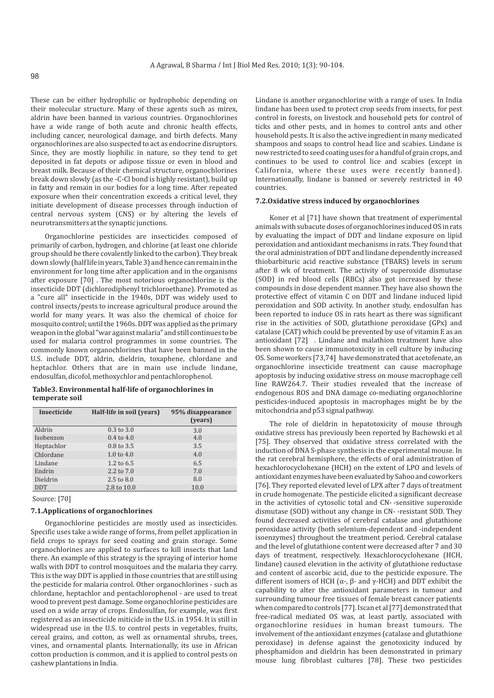These can be either hydrophilic or hydrophobic depending on their molecular structure. Many of these agents such as mirex, aldrin have been banned in various countries. Organochlorines have a wide range of both acute and chronic health effects, including cancer, neurological damage, and birth defects. Many organochlorines are also suspected to act as endocrine disruptors. Since, they are mostly liophilic in nature, so they tend to get deposited in fat depots or adipose tissue or even in blood and breast milk. Because of their chemical structure, organochlorines break down slowly (as the -C-Cl bond is highly resistant), build up in fatty and remain in our bodies for a long time. After repeated exposure when their concentration exceeds a critical level, they initiate development of disease processes through induction of central nervous system (CNS) or by altering the levels of neurotransmitters at the synaptic junctions.

Organochlorine pesticides are insecticides composed of primarily of carbon, hydrogen, and chlorine (at least one chloride group should be there covalently linked to the carbon). They break down slowly (half life in years, Table 3) and hence can remain in the environment for long time after application and in the organisms after exposure [70] . The most notorious organochlorine is the insecticide DDT (dichlorodiphenyl trichloroethane). Promoted as a "cure all" insecticide in the 1940s, DDT was widely used to control insects/pests to increase agricultural produce around the world for many years. It was also the chemical of choice for mosquito control; until the 1960s. DDT was applied as the primary weapon in the global "war against malaria" and still continues to be used for malaria control programmes in some countries. The commonly known organochlorines that have been banned in the U.S. include DDT, aldrin, dieldrin, toxaphene, chlordane and heptachlor. Others that are in main use include lindane, endosulfan, dicofol, methoxychlor and pentachlorophenol.

### **Table3. Environmental half-life of organochlorines in temperate soil**

| <b>Insecticide</b> | Half-life in soil (years) | 95% disappearance<br>(years) |
|--------------------|---------------------------|------------------------------|
| Aldrin             | $0.3$ to $3.0$            | 3.0                          |
| Isobenzon          | $0.4 \text{ to } 4.0$     | 4.0                          |
| Heptachlor         | $0.8 \text{ to } 3.5$     | 3.5                          |
| Chlordane          | 1.0 to $4.0$              | 4.0                          |
| Lindane            | $1.2 \text{ to } 6.5$     | 6.5                          |
| Endrin             | 2.2 to $7.0$              | 7.0                          |
| Dieldrin           | $2.5 \text{ to } 8.0$     | 8.0                          |
| <b>DDT</b>         | 2.8 to 10.0               | 10.0                         |

Source: [70]

# **7.1.Applications of organochlorines**

Organochlorine pesticides are mostly used as insecticides. Specific uses take a wide range of forms, from pellet application in field crops to sprays for seed coating and grain storage. Some organochlorines are applied to surfaces to kill insects that land there. An example of this strategy is the spraying of interior home walls with DDT to control mosquitoes and the malaria they carry. This is the way DDT is applied in those countries that are still using the pesticide for malaria control. Other organochlorines - such as chlordane, heptachlor and pentachlorophenol - are used to treat wood to prevent pest damage. Some organochlorine pesticides are used on a wide array of crops. Endosulfan, for example, was first registered as an insecticide miticide in the U.S. in 1954. It is still in widespread use in the U.S. to control pests in vegetables, fruits, cereal grains, and cotton, as well as ornamental shrubs, trees, vines, and ornamental plants. Internationally, its use in African cotton production is common, and it is applied to control pests on cashew plantations in India.

Lindane is another organochlorine with a range of uses. In India lindane has been used to protect crop seeds from insects, for pest control in forests, on livestock and household pets for control of ticks and other pests, and in homes to control ants and other household pests. It is also the active ingredient in many medicated shampoos and soaps to control head lice and scabies. Lindane is now restricted to seed coating uses for a handful of grain crops, and continues to be used to control lice and scabies (except in California, where these uses were recently banned). Internationally, lindane is banned or severely restricted in 40 countries.

#### **7.2.Oxidative stress induced by organochlorines**

Koner et al [71] have shown that treatment of experimental animals with subacute doses of organochlorines induced OS in rats by evaluating the impact of DDT and lindane exposure on lipid peroxidation and antioxidant mechanisms in rats. They found that the oral administration of DDT and lindane dependently increased thiobarbituric acid reactive substance (TBARS) levels in serum after 8 wk of treatment. The activity of superoxide dismutase (SOD) in red blood cells (RBCs) also got increased by these compounds in dose dependent manner. They have also shown the protective effect of vitamin C on DDT and lindane induced lipid peroxidation and SOD activity. In another study, endosulfan has been reported to induce OS in rats heart as there was significant rise in the activities of SOD, glutathione peroxidase (GPx) and catalase (CAT) which could be prevented by use of vitamin E as an antioxidant [72] . Lindane and malathion treatment have also been shown to cause immunotoxicity in cell culture by inducing OS. Some workers [73,74] have demonstrated that acetofenate, an organochlorine insecticide treatment can cause macrophage apoptosis by inducing oxidative stress on mouse macrophage cell line RAW264.7. Their studies revealed that the increase of endogenous ROS and DNA damage co-mediating organochlorine pesticides-induced apoptosis in macrophages might be by the mitochondria and p53 signal pathway.

The role of dieldrin in hepatotoxicity of mouse through oxidative stress has previously been reported by Bachowski et al [75]. They observed that oxidative stress correlated with the induction of DNA S-phase synthesis in the experimental mouse. In the rat cerebral hemisphere, the effects of oral administration of hexachlorocyclohexane (HCH) on the extent of LPO and levels of antioxidant enzymes have been evaluated by Sahoo and coworkers [76]. They reported elevated level of LPX after 7 days of treatment in crude homogenate. The pesticide elicited a significant decrease in the activities of cytosolic total and CN- -sensitive superoxide dismutase (SOD) without any change in CN- -resistant SOD. They found decreased activities of cerebral catalase and glutathione peroxidase activity (both selenium-dependent and -independent isoenzymes) throughout the treatment period. Cerebral catalase and the level of glutathione content were decreased after 7 and 30 days of treatment, respectively. Hexachlorocyclohexane (HCH, lindane) caused elevation in the activity of glutathione reductase and content of ascorbic acid, due to the pesticide exposure. The different isomers of HCH ( $\alpha$ -,  $\beta$ - and  $\gamma$ -HCH) and DDT exhibit the capability to alter the antioxidant parameters in tumour and surrounding tumour free tissues of female breast cancer patients when compared to controls [77]. Iscan et al [77] demonstrated that free-radical mediated OS was, at least partly, associated with organochlorine residues in human breast tumours. The involvement of the antioxidant enzymes (catalase and glutathione peroxidase) in defense against the genotoxicity induced by phosphamidon and dieldrin has been demonstrated in primary mouse lung fibroblast cultures [78]. These two pesticides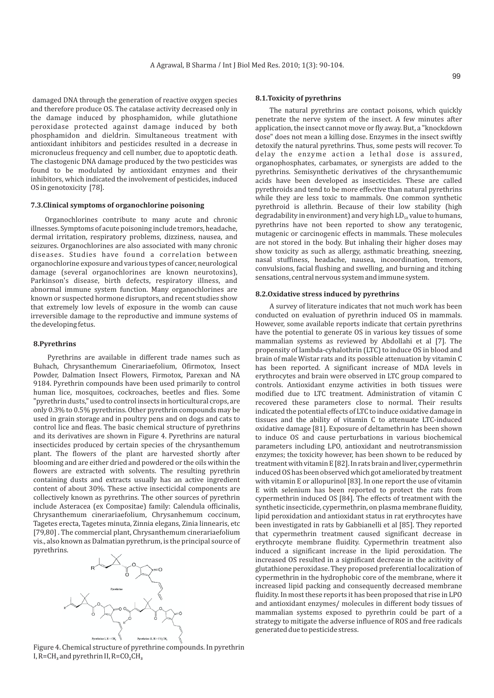damaged DNA through the generation of reactive oxygen species and therefore produce OS. The catalase activity decreased only in the damage induced by phosphamidon, while glutathione peroxidase protected against damage induced by both phosphamidon and dieldrin. Simultaneous treatment with antioxidant inhibitors and pesticides resulted in a decrease in micronucleus frequency and cell number, due to apoptotic death. The clastogenic DNA damage produced by the two pesticides was found to be modulated by antioxidant enzymes and their inhibitors, which indicated the involvement of pesticides, induced OS in genotoxicity [78].

# **7.3.Clinical symptoms of organochlorine poisoning**

Organochlorines contribute to many acute and chronic illnesses. Symptoms of acute poisoning include tremors, headache, dermal irritation, respiratory problems, dizziness, nausea, and seizures. Organochlorines are also associated with many chronic diseases. Studies have found a correlation between organochlorine exposure and various types of cancer, neurological damage (several organochlorines are known neurotoxins), Parkinson's disease, birth defects, respiratory illness, and abnormal immune system function. Many organochlorines are known or suspected hormone disruptors, and recent studies show that extremely low levels of exposure in the womb can cause irreversible damage to the reproductive and immune systems of the developing fetus.

#### **8.Pyrethrins**

Pyrethrins are available in different trade names such as Buhach, Chrysanthemum Cinerariaefolium, Ofirmotox, Insect Powder, Dalmation Insect Flowers, Firmotox, Parexan and NA 9184. Pyrethrin compounds have been used primarily to control human lice, mosquitoes, cockroaches, beetles and flies. Some "pyrethrin dusts," used to control insects in horticultural crops, are only 0.3% to 0.5% pyrethrins. Other pyrethrin compounds may be used in grain storage and in poultry pens and on dogs and cats to control lice and fleas. The basic chemical structure of pyrethrins and its derivatives are shown in Figure 4. Pyrethrins are natural insecticides produced by certain species of the chrysanthemum plant. The flowers of the plant are harvested shortly after blooming and are either dried and powdered or the oils within the flowers are extracted with solvents. The resulting pyrethrin containing dusts and extracts usually has an active ingredient content of about 30%. These active insecticidal components are collectively known as pyrethrins. The other sources of pyrethrin include Asteracea (ex Compositae) family: Calendula officinalis, Chrysanthemum cinerariaefolium, Chrysanhemum coccinum, Tagetes erecta, Tagetes minuta, Zinnia elegans, Zinia linnearis, etc [79,80]. The commercial plant, Chrysanthemum cinerariaefolium vis., also known as Dalmatian pyrethrum, is the principal source of pyrethrins.



Figure 4. Chemical structure of pyrethrine compounds. In pyrethrin  $I, R=CH<sub>3</sub>$  and pyrethrin  $II, R=CO<sub>2</sub>CH<sub>3</sub>$ 

# **8.1.Toxicity of pyrethrins**

The natural pyrethrins are contact poisons, which quickly penetrate the nerve system of the insect. A few minutes after application, the insect cannot move or fly away. But, a "knockdown dose" does not mean a killing dose. Enzymes in the insect swiftly detoxify the natural pyrethrins. Thus, some pests will recover. To delay the enzyme action a lethal dose is assured, organophosphates, carbamates, or synergists are added to the pyrethrins. Semisynthetic derivatives of the chrysanthemumic acids have been developed as insecticides. These are called pyrethroids and tend to be more effective than natural pyrethrins while they are less toxic to mammals. One common synthetic pyrethroid is allethrin. Because of their low stability (high degradability in environment) and very high  $LD_{50}$  value to humans, pyrethrins have not been reported to show any teratogenic, mutagenic or carcinogenic effects in mammals. These molecules are not stored in the body. But inhaling their higher doses may show toxicity as such as allergy, asthmatic breathing, sneezing, nasal stuffiness, headache, nausea, incoordination, tremors, convulsions, facial flushing and swelling, and burning and itching sensations, central nervous system and immune system.

# **8.2.Oxidative stress induced by pyrethrins**

A survey of literature indicates that not much work has been conducted on evaluation of pyrethrin induced OS in mammals. However, some available reports indicate that certain pyrethrins have the potential to generate OS in various key tissues of some mammalian systems as reviewed by Abdollahi et al [7]. The propensity of lambda-cyhalothrin (LTC) to induce OS in blood and brain of male Wistar rats and its possible attenuation by vitamin C has been reported. A significant increase of MDA levels in erythrocytes and brain were observed in LTC group compared to controls. Antioxidant enzyme activities in both tissues were modified due to LTC treatment. Administration of vitamin C recovered these parameters close to normal. Their results indicated the potential effects of LTC to induce oxidative damage in tissues and the ability of vitamin C to attenuate LTC-induced oxidative damage [81]. Exposure of deltamethrin has been shown to induce OS and cause perturbations in various biochemical parameters including LPO, antioxidant and neutrotransmission enzymes; the toxicity however, has been shown to be reduced by treatment with vitamin E [82]. In rats brain and liver, cypermethrin induced OS has been observed which got ameliorated by treatment with vitamin E or allopurinol [83]. In one report the use of vitamin E with selenium has been reported to protect the rats from cypermethrin induced OS [84]. The effects of treatment with the synthetic insecticide, cypermethrin, on plasma membrane fluidity, lipid peroxidation and antioxidant status in rat erythrocytes have been investigated in rats by Gabbianelli et al [85]. They reported that cypermethrin treatment caused significant decrease in erythrocyte membrane fluidity. Cypermethrin treatment also induced a significant increase in the lipid peroxidation. The increased OS resulted in a significant decrease in the acitivity of glutathione peroxidase. They proposed preferential localization of cypermethrin in the hydrophobic core of the membrane, where it increased lipid packing and consequently decreased membrane fluidity. In most these reports it has been proposed that rise in LPO and antioxidant enzymes/ molecules in different body tissues of mammalian systems exposed to pyrethrin could be part of a strategy to mitigate the adverse influence of ROS and free radicals generated due to pesticide stress.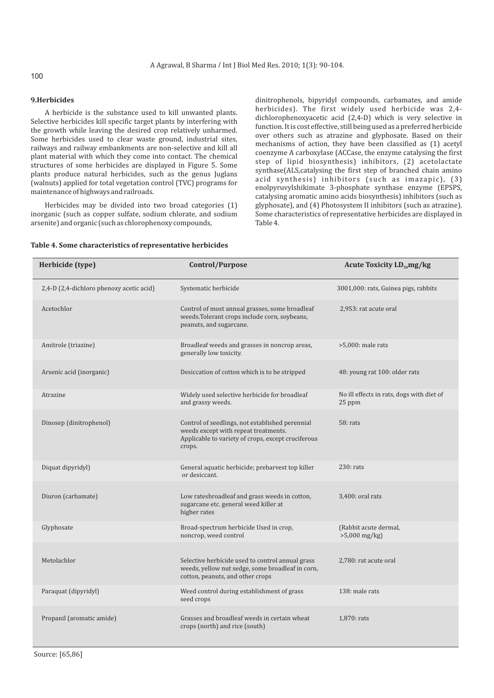# 100

# **9.Herbicides**

A herbicide is the substance used to kill unwanted plants. Selective herbicides kill specific target plants by interfering with the growth while leaving the desired crop relatively unharmed. Some herbicides used to clear waste ground, industrial sites, railways and railway embankments are non-selective and kill all plant material with which they come into contact. The chemical structures of some herbicides are displayed in Figure 5. Some plants produce natural herbicides, such as the genus Juglans (walnuts) applied for total vegetation control (TVC) programs for maintenance of highways and railroads.

Herbicides may be divided into two broad categories (1) inorganic (such as copper sulfate, sodium chlorate, and sodium arsenite) and organic (such as chlorophenoxy compounds,

dinitrophenols, bipyridyl compounds, carbamates, and amide herbicides). The first widely used herbicide was 2,4 dichlorophenoxyacetic acid (2,4-D) which is very selective in function. It is cost effective, still being used as a preferred herbicide over others such as atrazine and glyphosate. Based on their mechanisms of action, they have been classified as (1) acetyl coenzyme A carboxylase (ACCase, the enzyme catalysing the first step of lipid biosynthesis) inhibitors, (2) acetolactate synthase(ALS,catalysing the first step of branched chain amino acid synthesis) inhibitors (such as imazapic), (3) enolpyruvylshikimate 3-phosphate synthase enzyme (EPSPS, catalysing aromatic amino acids biosynthesis) inhibitors (such as glyphosate), and (4) Photosystem II inhibitors (such as atrazine). Some characteristics of representative herbicides are displayed in Table 4.

| Herbicide (type)                         | Control/Purpose                                                                                                                                         | <b>Acute Toxicity LD<sub>50</sub>mg/kg</b>          |
|------------------------------------------|---------------------------------------------------------------------------------------------------------------------------------------------------------|-----------------------------------------------------|
| 2,4-D (2,4-dichloro phenoxy acetic acid) | Systematic herbicide                                                                                                                                    | 3001,000: rats, Guinea pigs, rabbits                |
| Acetochlor                               | Control of most annual grasses, some broadleaf<br>weeds. Tolerant crops include corn, soybeans,<br>peanuts, and sugarcane.                              | 2,953: rat acute oral                               |
| Amitrole (triazine)                      | Broadleaf weeds and grasses in noncrop areas,<br>generally low toxicity.                                                                                | $>5,000$ : male rats                                |
| Arsenic acid (inorganic)                 | Desiccation of cotton which is to be stripped                                                                                                           | 48: young rat 100: older rats                       |
| Atrazine                                 | Widely used selective herbicide for broadleaf<br>and grassy weeds.                                                                                      | No ill effects in rats, dogs with diet of<br>25 ppm |
| Dinosep (dinitrophenol)                  | Control of seedlings, not established perennial<br>weeds except with repeat treatments.<br>Applicable to variety of crops, except cruciferous<br>crops. | 58: rats                                            |
| Diquat dipyridyl)                        | General aquatic herbicide; preharvest top killer<br>or desiccant.                                                                                       | 230: rats                                           |
| Diuron (carbamate)                       | Low ratesbroadleaf and grass weeds in cotton,<br>sugarcane etc. general weed killer at<br>higher rates                                                  | 3,400: oral rats                                    |
| Glyphosate                               | Broad-spectrum herbicide Used in crop,<br>noncrop, weed control                                                                                         | (Rabbit acute dermal,<br>$>5,000$ mg/kg)            |
| Metolachlor                              | Selective herbicide used to control annual grass<br>weeds, yellow nut sedge, some broadleaf in corn,<br>cotton, peanuts, and other crops                | 2,780: rat acute oral                               |
| Paraquat (dipyridyl)                     | Weed control during establishment of grass<br>seed crops                                                                                                | 138: male rats                                      |
| Propanil (aromatic amide)                | Grasses and broadleaf weeds in certain wheat<br>crops (north) and rice (south)                                                                          | 1,870: rats                                         |

# **Table 4. Some characteristics of representative herbicides**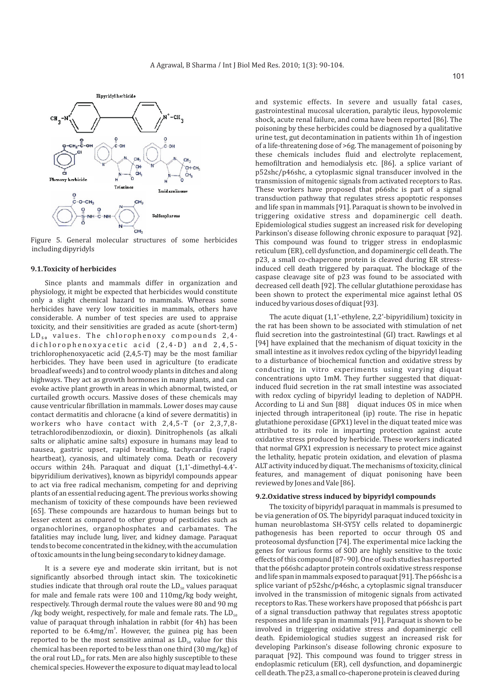

Figure 5. General molecular structures of some herbicides including dipyridyls

# **9.1.Toxicity of herbicides**

Since plants and mammals differ in organization and physiology, it might be expected that herbicides would constitute only a slight chemical hazard to mammals. Whereas some herbicides have very low toxicities in mammals, others have considerable. A number of test species are used to appraise toxicity, and their sensitivities are graded as acute (short-term) LD<sub>50</sub> values. The chlorophenoxy compounds 2,4dichlorophenoxyacetic acid (2,4-D) and 2,4,5trichlorophenoxyacetic acid (2,4,5-T) may be the most familiar herbicides. They have been used in agriculture (to eradicate broadleaf weeds) and to control woody plants in ditches and along highways. They act as growth hormones in many plants, and can evoke active plant growth in areas in which abnormal, twisted, or curtailed growth occurs. Massive doses of these chemicals may cause ventricular fibrillation in mammals. Lower doses may cause contact dermatitis and chloracne (a kind of severe dermatitis) in workers who have contact with 2,4,5-T (or 2,3,7,8 tetrachlorodibenzodioxin, or dioxin). Dinitrophenols (as alkali salts or aliphatic amine salts) exposure in humans may lead to nausea, gastric upset, rapid breathing, tachycardia (rapid heartbeat), cyanosis, and ultimately coma. Death or recovery occurs within 24h. Paraquat and diquat (1,1'-dimethyl-4.4' bipyridilium derivatives), known as bipyridyl compounds appear to act via free radical mechanism, competing for and depriving plants of an essential reducing agent. The previous works showing mechanism of toxicity of these compounds have been reviewed [65]. These compounds are hazardous to human beings but to lesser extent as compared to other group of pesticides such as organochlorines, organophosphates and carbamates. The fatalities may include lung, liver, and kidney damage. Paraquat tends to become concentrated in the kidney, with the accumulation of toxic amounts in the lung being secondary to kidney damage.

It is a severe eye and moderate skin irritant, but is not significantly absorbed through intact skin. The toxicokinetic studies indicate that through oral route the  $LD<sub>50</sub>$  values paraquat for male and female rats were 100 and 110mg/kg body weight, respectively. Through dermal route the values were 80 and 90 mg /kg body weight, respectively, for male and female rats. The  $LD_{50}$ value of paraquat through inhalation in rabbit (for 4h) has been reported to be  $6.4 \text{mg/m}^3$ . However, the guinea pig has been reported to be the most sensitive animal as  $LD_{50}$  value for this chemical has been reported to be less than one third (30 mg/kg) of the oral rout  $LD_{50}$  for rats. Men are also highly susceptible to these chemical species. However the exposure to diquat may lead to local

and systemic effects. In severe and usually fatal cases, gastrointestinal mucosal ulceration, paralytic ileus, hypovolemic shock, acute renal failure, and coma have been reported [86]. The poisoning by these herbicides could be diagnosed by a qualitative urine test, gut decontamination in patients within 1h of ingestion of a life-threatening dose of >6g. The management of poisoning by these chemicals includes fluid and electrolyte replacement, hemofiltration and hemodialysis etc. [86]. a splice variant of p52shc/p46shc, a cytoplasmic signal transducer involved in the transmission of mitogenic signals from activated receptors to Ras. These workers have proposed that p66shc is part of a signal transduction pathway that regulates stress apoptotic responses and life span in mammals [91]. Paraquat is shown to be involved in triggering oxidative stress and dopaminergic cell death. Epidemiological studies suggest an increased risk for developing Parkinson's disease following chronic exposure to paraquat [92]. This compound was found to trigger stress in endoplasmic reticulum (ER), cell dysfunction, and dopaminergic cell death. The p23, a small co-chaperone protein is cleaved during ER stressinduced cell death triggered by paraquat. The blockage of the caspase cleavage site of p23 was found to be associated with decreased cell death [92]. The cellular glutathione peroxidase has been shown to protect the experimental mice against lethal OS induced by various doses of diquat [93].

The acute diquat (1,1'-ethylene, 2,2'-bipyridilium) toxicity in the rat has been shown to be associated with stimulation of net fluid secretion into the gastrointestinal (GI) tract. Rawlings et al [94] have explained that the mechanism of diquat toxicity in the small intestine as it involves redox cycling of the bipyridyl leading to a disturbance of biochemical function and oxidative stress by conducting in vitro experiments using varying diquat concentrations upto 1mM. They further suggested that diquatinduced fluid secretion in the rat small intestine was associated with redox cycling of bipyridyl leading to depletion of NADPH. According to Li and Sun [88] diquat induces OS in mice when injected through intraperitoneal (ip) route. The rise in hepatic glutathione peroxidase (GPX1) level in the diquat teated mice was attributed to its role in imparting protection against acute oxidative stress produced by herbicide. These workers indicated that normal GPX1 expression is necessary to protect mice against the lethality, hepatic protein oxidation, and elevation of plasma ALT activity induced by diquat. The mechanisms of toxicity, clinical features, and management of diquat ponisoning have been reviewed by Jones and Vale [86].

#### **9.2.Oxidative stress induced by bipyridyl compounds**

The toxicity of bipyridyl paraquat in mammals is presumed to be via generation of OS. The bipyridyl paraquat induced toxicity in human neuroblastoma SH-SY5Y cells related to dopaminergic pathogenesis has been reported to occur through OS and proteosomal dysfunction [74]. The experimental mice lacking the genes for various forms of SOD are highly sensitive to the toxic effects of this compound [87- 90]. One of such studies has reported that the p66shc adaptor protein controls oxidative stress response and life span in mammals exposed to paraquat [91]. The p66shc is a splice variant of p52shc/p46shc, a cytoplasmic signal transducer involved in the transmission of mitogenic signals from activated receptors to Ras. These workers have proposed that p66shc is part of a signal transduction pathway that regulates stress apoptotic responses and life span in mammals [91]. Paraquat is shown to be involved in triggering oxidative stress and dopaminergic cell death. Epidemiological studies suggest an increased risk for developing Parkinson's disease following chronic exposure to paraquat [92]. This compound was found to trigger stress in endoplasmic reticulum (ER), cell dysfunction, and dopaminergic cell death. The p23, a small co-chaperone protein is cleaved during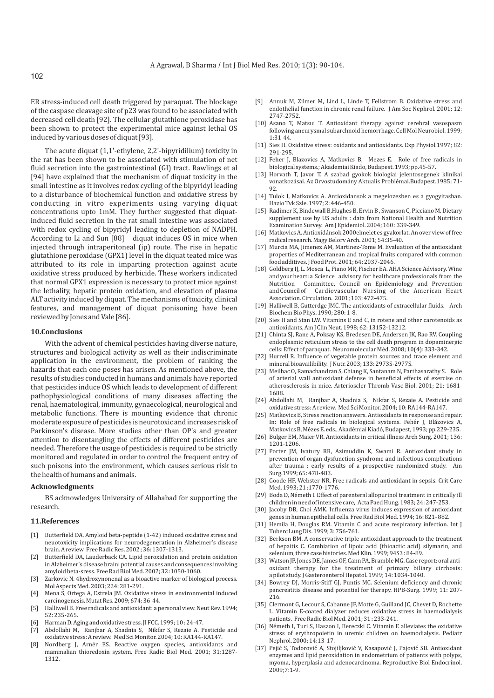ER stress-induced cell death triggered by paraquat. The blockage of the caspase cleavage site of p23 was found to be associated with decreased cell death [92]. The cellular glutathione peroxidase has been shown to protect the experimental mice against lethal OS induced by various doses of diquat [93].

The acute diquat (1,1'-ethylene, 2,2'-bipyridilium) toxicity in the rat has been shown to be associated with stimulation of net fluid secretion into the gastrointestinal (GI) tract. Rawlings et al [94] have explained that the mechanism of diquat toxicity in the small intestine as it involves redox cycling of the bipyridyl leading to a disturbance of biochemical function and oxidative stress by conducting in vitro experiments using varying diquat concentrations upto 1mM. They further suggested that diquatinduced fluid secretion in the rat small intestine was associated with redox cycling of bipyridyl leading to depletion of NADPH. According to Li and Sun [88] diquat induces OS in mice when injected through intraperitoneal (ip) route. The rise in hepatic glutathione peroxidase (GPX1) level in the diquat teated mice was attributed to its role in imparting protection against acute oxidative stress produced by herbicide. These workers indicated that normal GPX1 expression is necessary to protect mice against the lethality, hepatic protein oxidation, and elevation of plasma ALT activity induced by diquat. The mechanisms of toxicity, clinical features, and management of diquat ponisoning have been reviewed by Jones and Vale [86].

#### **10.Conclusions**

With the advent of chemical pesticides having diverse nature, structures and biological activity as well as their indiscriminate application in the environment, the problem of ranking the hazards that each one poses has arisen. As mentioned above, the results of studies conducted in humans and animals have reported that pesticides induce OS which leads to development of different pathophysiological conditions of many diseases affecting the renal, haematological, immunity, gynaecological, neurological and metabolic functions. There is mounting evidence that chronic moderate exposure of pesticides is neurotoxic and increases risk of Parkinson's disease. More studies other than OP's and greater attention to disentangling the effects of different pesticides are needed. Therefore the usage of pesticides is required to be strictly monitored and regulated in order to control the frequent entry of such poisons into the environment, which causes serious risk to the health of humans and animals.

#### **Acknowledgments**

BS acknowledges University of Allahabad for supporting the research.

#### **11.References**

- [1] Butterfield DA. Amyloid beta-peptide (1-42) induced oxidative stress and neuotoxicity implications for neurodegeneration in Alzheimer's disease brain. A review Free Radic Res. 2002 ; 36: 1307-1313.
- [2] Butterfield DA, Lauderback CA. Lipid peroxidation and protein oxidation in Alzheimer's disease brain: potential causes and consequences involving amyloid beta-sress. Free Rad Biol Med. 2002; 32 :1050-1060.
- [3] Zarkovic N. 4hydroxynonenal as a bioactive marker of biological process. Mol Aspects Med. 2003; 224: 281-291.
- [4] Mena S, Ortega A, Estrela JM. Oxidative stress in environmental induced carcinogenesis. Mutat Res. 2009; 674: 36-44.
- [5] Halliwell B. Free radicals and antioxidant: a personal view. Neut Rev. 1994; 52: 235-265.
- [6] Harman D. Aging and oxidative stress. JI FCC. 1999; 10 : 24-47.
- [7] Abdollahi M, Ranjbar A, Shadnia S, Nikfar S, Rezaie A. Pesticide and oxidative stress: A review. Med Sci Monitor. 2004; 10: RA144-RA147.
- Nordberg J, Arnér ES. Reactive oxygen species, antioxidants and mammalian thioredoxin system. Free Radic Biol Med. 2001; 31:1287- 1312.
- Annuk M, Zilmer M, Lind L, Linde T, Fellstrom B. Oxidative stress and endothelial function in chronic renal failure. J Am Soc Nephrol. 2001; 12: 2747-2752.
- [10] Asano T, Matsui T. Antioxidant therapy against cerebral vasospasm following aneurysmal subarchnoid hemorrhage. Cell Mol Neurobiol. 1999; 1:31-44.
- [11] Sies H. Oxidative stress: oxidants and antioxidants. Exp Physiol.1997; 82: 291-295.
- [12] Feher J, Blazovics A, Matkovics B, Mezes E. Role of free radicals in biological systems.; Akademiai Kiado, Budapest. 1993; pp.45-57.
- [13] Horvath T, Javor T. A szabad gyokok biologiai jelentosegenek klinikai vonatkozásai. Az Orvostudomány Aktualis Problémai.Budapest.1985; 71- 92
- [14] Tulok I, Matkovics A. Antioxidansok a megelozesben es a gyogyitasban. Hazio Tvk Szle. 1997; 2: 446-450.
- [15] Radimer K, Bindewall B, Hughes B, Ervin B, Swanson C, Picciano M. Dietary supplement use by US adults : data from National Health and Nutrition Examination Survey. Am J Epidemiol. 2004; 160 : 339-349.
- [16] Matkovics A. Antioxidánsok 2000elmelet es gyakorlat. An over view of free radical research. Magy Belorv Arch. 2001; 54:35-40.
- [17] Murcia MA, Jimenez AM, Martinez-Tome M. Evaluation of the antioxidant properties of Mediterranean and tropical fruits compared with common food additives. J Food Prot. 2001; 64: 2037-2046.
- [18] Goldberg IJ, L. Mosca L, Piano MR, Fischer EA. AHA Science Advisory. Wine and your heart: a Science advisory for healthcare professionals from the Nutrition Committee, Council on Epidemiology and Prevention and Council of Cardiovascular Nursing of the American Heart Association. Circulation. 2001; 103: 472-475.
- [19] Halliwell B, Gutterdge JMC. The antioxidants of extracellular fluids. Arch Biochem Bio Phys. 1990; 280: 1-8.
- [20] Sies H and Stan LW. Vitamins E and C, in rotene and other carotenoids as antioxidants, Am J Clin Neut. 1998; 62: 13152-13212.
- [21] Chinta SJ, Rane A, Poksay KS, Bredesen DE, Andersen JK, Rao RV. Coupling endoplasmic reticulum stress to the cell death program in dopaminergic cells: Effect of paraquat. Neuromolecular Méd. 2008; 10(4): 333-342.
- [22] Hurrell R. Influence of vegetable protein sources and trace element and mineral bioavailibility. J Nutr. 2003; 133: 2973S-2977S.
- [23] Meilhac O, Ramachandran S, Chiang K, Santanam N, Parthasarathy S. Role of arterial wall antioxidant defense in beneficial effects of exercise on atherosclerosis in mice. Arterioscler Thromb Vasc Biol. 2001; 21: 1681- 1688.
- [24] Abdollahi M, Ranjbar A, Shadnia S, Nikfar S, Rezaie A. Pesticide and oxidative stress: A review. Med Sci Monitor. 2004; 10: RA144-RA147.
- [25] Matkovics B, Stress reaction answers. Antioxidants in response and repair. In: Role of free radicals in biological systems. Fehér J, Blázovics A, Matkovics B, Mézes E. eds., Akadémiai Kiadó, Budapest, 1993; pp.229-235.
- [26] Bulger EM, Maier VR. Antioxidants in critical illness Arch Surg. 2001; 136: 1201-1206.
- [27] Porter JM, Ivatury RR, Azimuddin K, Swami R. Antioxidant study in prevention of organ dysfunction syndrome and infectious complications after trauma : early results of a prospective randomized study. Am Surg.1999; 65: 478-483.
- [28] Goode HF, Webster NR. Free radicals and antioxidant in sepsis. Crit Care Med. 1993; 21 :1770-1776.
- [29] Boda D, Németh I. Effect of parenteral allopurinol treatment in critically ill children in need of intensive care, Acta Paed Hung. 1983; 24: 247-253.
- [30] Jacoby DB, Choi AMK. Influenza virus induces expression of antioxidant genes in human epithelial cells. Free Rad Biol Med. 1994; 16: 821- 882.
- [31] Hemila H, Douglas RM. Vitamin C and acute respiratory infection. Int J Tuberc Lung Dis. 1999; 3: 756-761.
- [32] Berkson BM. A conservative triple antioxidant approach to the treatment of hepaitis C. Combiation of lipoic acid (thioactic acid) silymarin, and selenium, three case histories. Med Klin. 1999; 94S3 : 84-89.
- [33] Watson JP, Jones DE, James OF, Cann PA, Bramble MG. Case report: oral antioxidant therapy for the treatment of primary biliary cirrhosis: a pilot study. J Gasteroenterol Hepatol. 1999; 14: 1034-1040.
- [34] Bowrey DJ, Morris-Stiff GJ, Puntis MC. Selenium deficiency and chronic pancreatitis disease and potential for therapy. HPB-Surg. 1999; 11: 207- 216.
- [35] Clermont G, Lecour S, Cabanne JF, Motte G, Guilland JC, Chevet D, Rochette L. Vitamin E-coated dialyzer reduces oxidative stress in haemodialysis patients. Free Radic Biol Med. 2001; 31 : 233-241.
- [36] Németh I, Turi S, Haszon I, Bereczki C. Vitamin E alleviates the oxidative stress of erythropoietin in uremic children on haemodialysis. Pediatr Nephrol. 2000; 14:13-17.
- [37] Pejić S, Todorović A, Stojiljković V, Kasapović J, Pajović SB. Antioxidant enzymes and lipid peroxidation in endometrium of patients with polyps, myoma, hyperplasia and adenocarcinoma. Reproductive Biol Endocrinol. 2009;7:1-9.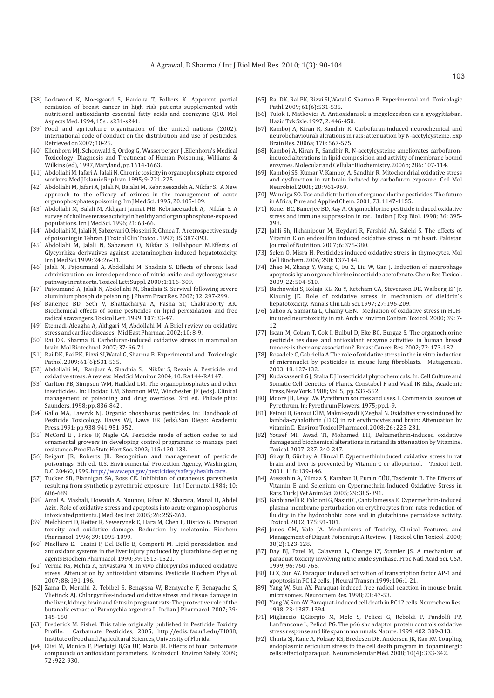- [38] Lockwood K, Moesgaard S, Hanioka T, Folkers K. Apparent partial remission of breast cancer in high risk patients supplemented with nutritional antioxidants essential fatty acids and coenzyme Q10. Mol Aspects Med. 1994; 15s : s231-s241.
- [39] Food and agriculture organization of the united nations (2002). International code of conduct on the distribution and use of pesticides. Retrieved on 2007; 10-25.
- [40] Ellenhorn MJ, Schonwald S, Ordog G, Wasserberger J .Ellenhorn's Medical Toxicology: Diagnosis and Treatment of Human Poisoning, Williams & Wilkins (ed), 1997, Maryland, pp.1614-1663.
- [41] Abdollahi M, Jafari A, Jalali N. Chronic toxicity in organophosphate exposed workers. Med J Islamic Rep Iran. 1995; 9: 221-225.
- [42] Abdollahi M, Jafari A, Jalali N, Balalai M, Kebriaeezadeh A, Nikfar S. A New approach to the efficacy of oximes in the management of acute organophosphates poisoning. Irn J Med Sci. 1995; 20:105-109.
- [43] Abdollahi M, Balali M, Akhgari Jannat MB, Kebriaeezadeh A, Nikfar S. A survey of cholinesterase activity in healthy and organophosphate-exposed populations. Irn J Med Sci. 1996; 21: 63-66.
- [44] Abdollahi M, Jalali N, Sabzevari O, Hoseini R, Ghnea T. A retrospective study of poisoning in Tehran. J Toxicol Clin Toxicol. 1997; 35:387-393.
- [45] Abdollahi M, Jalali N, Sabzevari O, Nikfar S, Fallahpour M.Effects of Glycyrrhiza derivatives against acetaminophen-induced hepatotoxicity. Irn J Med Sci.1999; 24 :26-31.
- [46] Jalali N, Pajoumand A, Abdollahi M, Shadnia S. Effects of chronic lead administration on interdependence of nitric oxide and cyclooxygenase pathway in rat aorta. Toxicol Lett Suppl. 2000 ;1:116- 309.
- [47] Pajoumand A, Jalali N, Abdollahi M, Shadnia S. Survival following severe aluminium phosphide poisoning. J Pharm Pract Res. 2002; 32: 297-299.
- [48] Banerjee BD, Seth V, Bhattacharya A, Pasha ST, Chakraborty AK. Biochemical effects of some pesticides on lipid peroxidation and free radical scavangers. Toxicol Lett. 1999; 107: 33-47.
- [49] Etemadi-Aleagha A, Akhgari M, Abdollahi M. A Brief review on oxidative stress and cardiac diseases. Mid East Pharmac. 2002; 10: 8-9.
- [50] Rai DK, Sharma B. Carbofuran-induced oxidative stress in mammalian brain. Mol Biotechnol. 2007; 37: 66-71.
- [51] Rai DK, Rai PK, Rizvi SI,Watal G, Sharma B. Experimental and Toxicologic Pathol. 2009; 61(6):531-535.
- [52] Abdollahi M, Ranjbar A, Shadnia S, Nikfar S, Rezaie A. Pesticide and oxidative stress: A review. Med Sci Monitor. 2004; 10: RA144-RA147.
- [53] Carlton FB, Simpson WM, Haddad LM. The organophosphates and other insecticides. In: Haddad LM, Shannon MW, Winchester JF (eds). Clinical management of poisoning and drug overdose. 3rd ed. Philadelphia: Saunders. 1998; pp. 836-842 .
- [54] Gallo MA, Lawryk NJ. Organic phosphorus pesticides. In: Handbook of Pesticide Toxicology. Hayes WJ, Laws ER (eds).San Diego: Academic Press.1991; pp.938-941,951-952.
- [55] McCord E , Price JF, Nagle CA. Pesticide mode of action codes to aid ornamental growers in developing control programms to manage pest resistance. Proc Fla State Hort Soc. 2002; 115: 130-133.
- [56] Reigart JR, Roberts JR. Recognition and management of pesticide poisonings. 5th ed. U.S. Environmental Protection Agency, Washington, D.C. 20460, 1999. http://www.epa.gov/pesticides/safety/health care.
- [57] Tucker SB, Flannigan SA, Ross CE. Inhibition of cutaneous paresthesia resulting from synthetic p zyrethroid exposure. Int J Dermatol.1984; 10: 686-689.
- [58] Amal A. Mashali, Howaida A. Nounou, Gihan M. Sharara, Manal H, Abdel Aziz . Role of oxidative stress and apoptosis into acute organophosphorus intoxicated patients. J Med Res Inst. 2005; 26: 255-263.
- [59] Melchiorri D, Reiter R, Sewerynek E, Hara M, Chen L, Histico G. Paraquat toxicity and oxidative damage. Reduction by melatonin. Biochem Pharmacol. 1996; 39: 1095-1099.
- [60] Maellaro E, Casini F, Del Bello B, Comporti M. Lipid peroxidation and antioxidant systems in the liver injury produced by glutathione depleting agents Biochem Pharmacol. 1990; 39: 1513-1521.
- [61] Verma RS, Mehta A, Srivastava N. In vivo chlorpyrifos induced oxidative stress: Attenuation by antioxidant vitamins. Pesticide Biochem Physiol. 2007; 88: 191-196.
- [62] Zama D, Meraihi Z, Tebibel S, Benayssa W, Benayache F, Benayache S, Vlietinck AJ. Chlorpyrifos-induced oxidative stress and tissue damage in the liver, kidney, brain and fetus in pregnant rats: The protective role of the butanolic extract of Paronychia argentea L. Indian J Pharmacol. 2007; 39: 145-150.
- [63] Frederick M. Fishel. This table originally published in Pesticide Toxicity Profile: Carbamate Pesticides, 2005; http://edis.ifas.ufl.edu/PI088, Institute of Food and Agricultural Sciences, University of Florida.
- [64] Elisi M, Monica F, Pierluigi B,Gu UF, Maria JR. Effects of four carbamate compounds on antioxidant parameters. Ecotoxicol Environ Safety. 2009; 72 : 922-930.
- [65] Rai DK, Rai PK, Rizvi SI,Watal G, Sharma B. Experimental and Toxicologic Pathl. 2009; 61(6):531-535.
- [66] Tulok I, Matkovics A. Antioxidansok a megelozesben es a gyogyításban. Hazio Tvk Szle. 1997; 2: 446-450.
- [67] Kamboj A, Kiran R, Sandhir R. Carbofuran-induced neurochemical and neurobehaviourak altrations in rats: attenuation by N-acetylcysteine. Exp Brain Res. 2006a; 170: 567-575.
- [68] Kamboj A, Kiran R, Sandhir R. N-acetylcysteine ameliorates carbofuroninduced alterations in lipid composition and activity of membrane bound enzymes. Molecular and Cellular Biochemistry. 2006b; 286: 107-114.
- [69] Kamboj SS, Kumar V, Kamboj A, Sandhir R. Mitochondrial oxidative stress and dysfunction in rat brain induced by carbofuron exposure. Cell Mol Neurobiol. 2008; 28: 961-969.
- [70] Wandiga SO. Use and distribution of organochlorine pesticides. The future in Africa, Pure and Applied Chem. 2001; 73: 1147-1155.
- [71] Koner BC, Banerjee BD, Ray A. Organochlorine pesticide induced oxidative stress and immune suppression in rat. Indian J Exp Biol. 1998; 36: 395- 398.
- [72] Jalili Sh, Ilkhanipour M, Heydari R, Farshid AA, Salehi S. The effects of Vitamin E on endosulfan induced oxidative stress in rat heart. Pakistan Journal of Nutrition. 2007; 6: 375-380.
- [73] Selen O, Misra H, Pesticides induced oxidative stress in thymocytes. Mol Cell Biochem. 2006; 290: 137-144.
- [74] Zhao M, Zhang Y, Wang C, Fu Z, Liu W, Gan J. Induction of macrophage apoptosis by an organochlorine insecticide acetofenate. Chem Res Toxicol. 2009; 22: 504-510.
- [75] Bachowski S, Kolaja KL, Xu Y, Ketcham CA, Stevenson DE, Walborg EF Jr, Klaunig JE. Role of oxidative stress in mechanism of dieldrin's hepatotoxicity. Annals Clin Lab Sci. 1997; 27: 196-209.
- [76] Sahoo A, Samanta L, Chainy GBN. Mediation of oxidative stress in HCHinduced neurotoxicity in rat. Archiv Environ Contam Toxicol. 2000; 39: 7- 12.
- [77] Iscan M, Coban T, Cok I, Bulbul D, Eke BC, Burgaz S. The organochlorine pesticide residues and antioxidant enzyme activities in human breast tumors: is there any association? Breast Cancer Res. 2002; 72: 173-182.
- [78] Rosadele C, Gabriella A.The role of oxidative stress in the in vitro induction of micronuclei by pesticides in mouse lung fibroblasts. Mutagenesis. 2003; 18: 127-132.
- [79] Kudakasseril G J, Staba E J Insecticidal phytochemicals. In: Cell Culture and Somatic Cell Genetics of Plants. Constabel F and Vasil IK Eds., Academic Press, New York. 1988; Vol. 5, pp. 537-552.
- [80] Moore JB, Levy LW. Pyrethrum sources and uses. I. Commercial sources of Pyrethrum. In: Pyrethrum Flowers. 1975; pp.1-9.
- [81] Fetoui H, Garoui El M, Makni-ayadi F, Zeghal N. Oxidative stress induced by lambda-cyhalothrin (LTC) in rat erythrocytes and brain: Attenuation by vitamin C. Environ Toxicol Pharmacol. 2008; 26 : 225-231.
- [82] Yousef MI, Awad TI, Mohamed EH, Deltamethrin-induced oxidative damage and biochemical alterations in rat and its attenuation by Vitamine. Toxicol. 2007; 227: 240-247.
- [83] Giray B, Gürbay A, Hincal F. Cypermethininduced oxidative stress in rat brain and liver is prevented by Vitamin C or allopurinol. Toxicol Lett. 2001; 118: 139-146.
- [84] Atessahin A, Yilmaz S, Karahan U, Purun CÜU, Tasdemir B. The Effects of Vitamin E and Selenium on Cypermethrin-Induced Oxidative Stress in Rats. Turk J Vet Anim Sci. 2005; 29: 385-391.
- [85] Gabbianelli R, Falcioni G, Nasuti C, Cantalamessa F. Cypermethrin-induced plasma membrane perturbation on erythrocytes from rats: reduction of fluidity in the hydrophobic core and in glutathione peroxidase activity. Toxicol. 2002; 175: 91-101.
- [86] Jones GM, Vale JA. Mechanisms of Toxicity, Clinical Features, and Management of Diquat Poisoning: A Review. J Toxicol Clin Toxicol .2000; 38(2): 123-128.
- [87] Day BJ, Patel M, Calavetta L, Change LY, Stamler JS. A mechanism of paraquat toxicity involving nitric oxide synthase. Proc Natl Acad Sci. USA. 1999; 96: 760-765.
- [88] Li X, Sun AY. Paraquat induced activation of transcription factor AP-1 and apoptosis in PC 12 cells. J Neural Transm.1999; 106:1-21.
- [89] Yang W, Sun AY. Paraquat-induced free radical reaction in mouse brain microsomes. Neurochem Res. 1998; 23: 47-53.
- [90] Yang W, Sun AY. Paraquat-induced cell death in PC12 cells. Neurochem Res. 1998; 23: 1387-1394.
- [91] Migliaccio E,Giorgio M, Mele S, Pelicci G, Reboldi P, Pandolfi PP, Lanfrancone L, Pelicci PG. The p66 shc adaptor protein controls oxidative stress response and life span in mammals. Nature. 1999; 402: 309-313.
- [92] Chinta SJ, Rane A, Poksay KS, Bredesen DE, Andersen JK, Rao RV. Coupling endoplasmic reticulum stress to the cell death program in dopaminergic cells: effect of paraquat. Neuromolecular Méd. 2008; 10(4): 333-342.